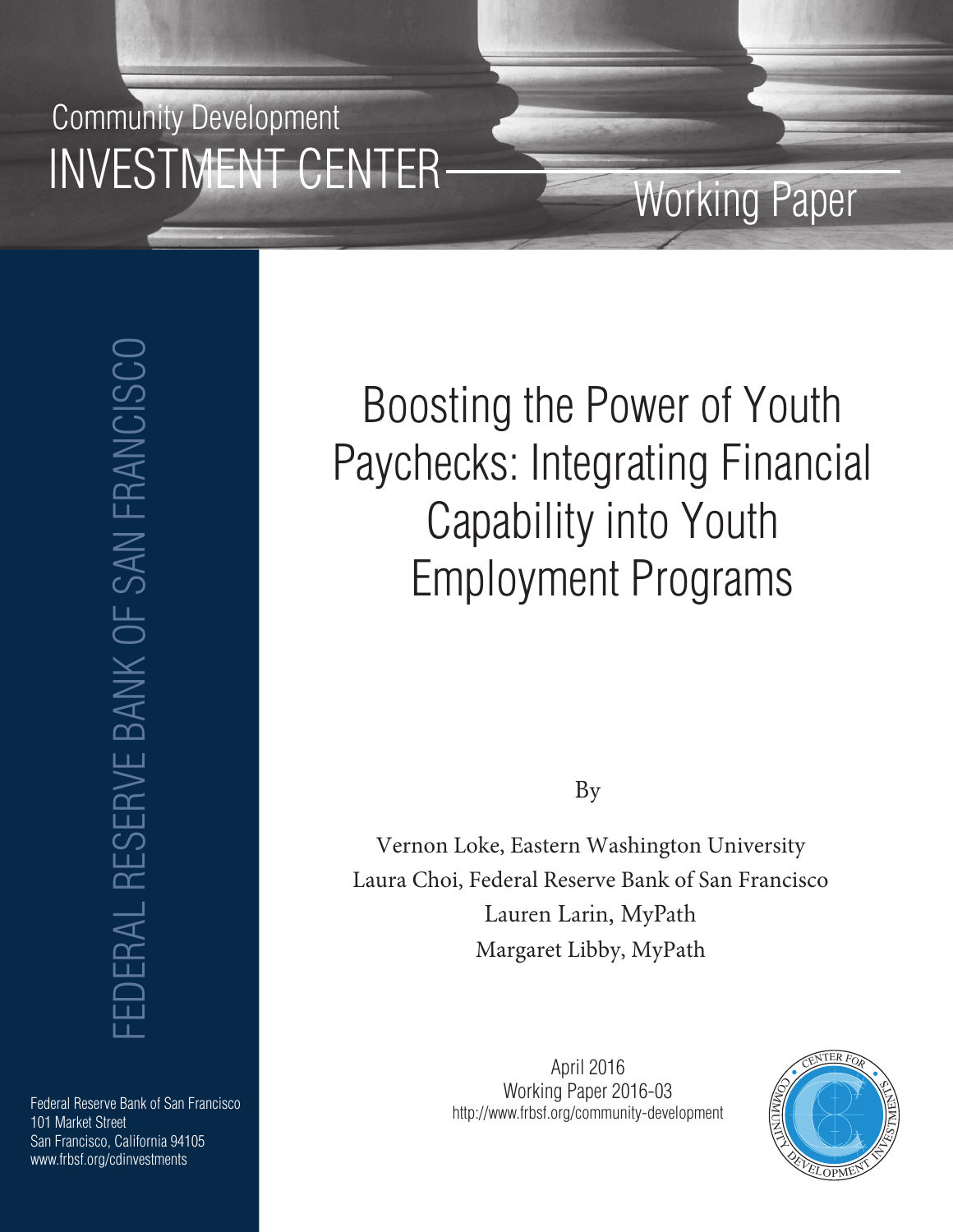## Community Development INVESTMENT CENTER

## Working Paper

FEDERAL RESERVE BANK OF SAN FRANCISCO **EDERAL RESERVE BANK OF SAN FRANCISCO** 

Federal Reserve Bank of San Francisco 101 Market Street San Francisco, California 94105 www.frbsf.org/cdinvestments

# Boosting the Power of Youth Paychecks: Integrating Financial Capability into Youth Employment Programs

By

Vernon Loke, Eastern Washington University Laura Choi, Federal Reserve Bank of San Francisco Lauren Larin, MyPath Margaret Libby, MyPath

> April 2016 Working Paper 2016-03 http://www.frbsf.org/community-development

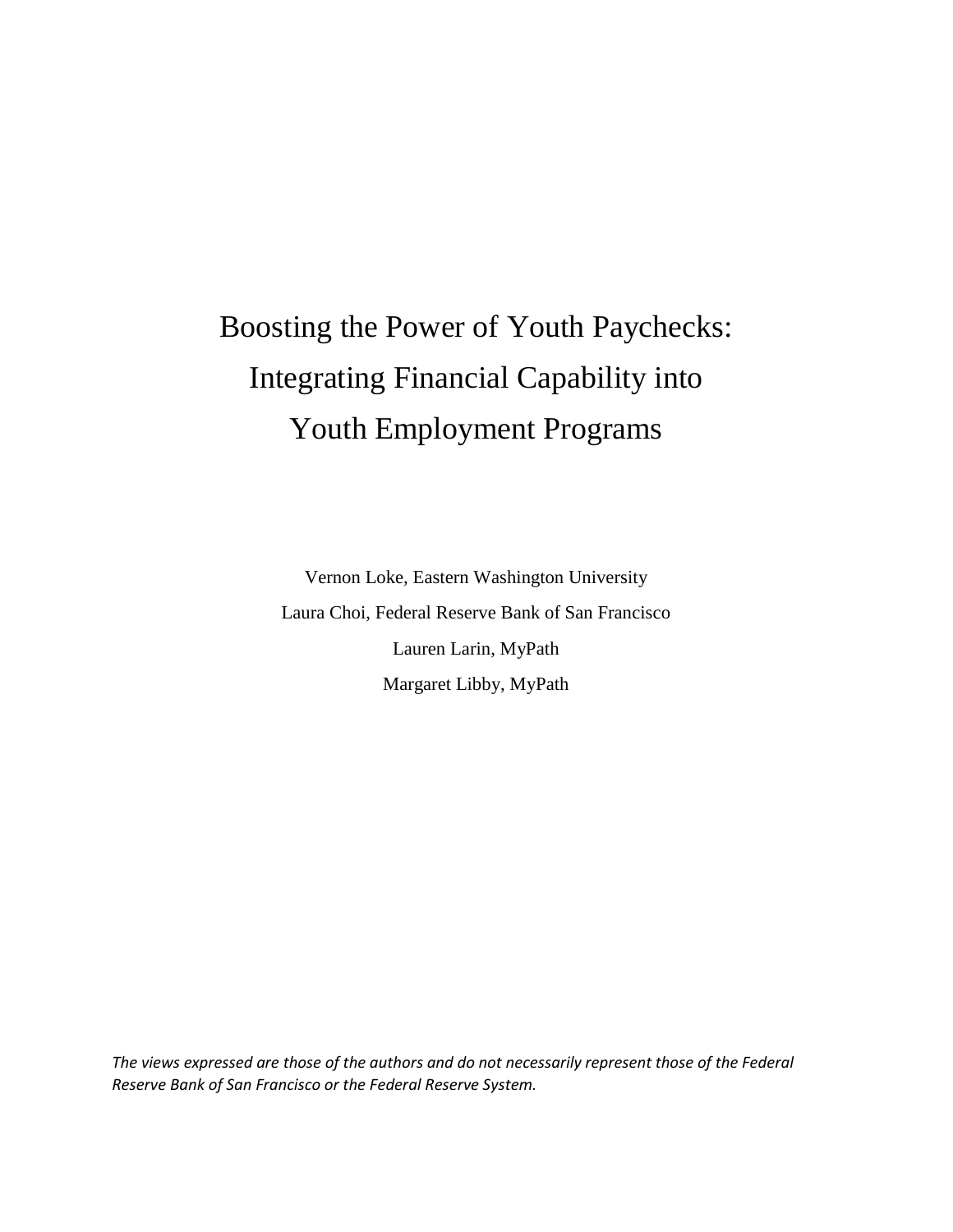## Boosting the Power of Youth Paychecks: Integrating Financial Capability into Youth Employment Programs

Vernon Loke, Eastern Washington University Laura Choi, Federal Reserve Bank of San Francisco Lauren Larin, MyPath Margaret Libby, MyPath

*The views expressed are those of the authors and do not necessarily represent those of the Federal Reserve Bank of San Francisco or the Federal Reserve System.*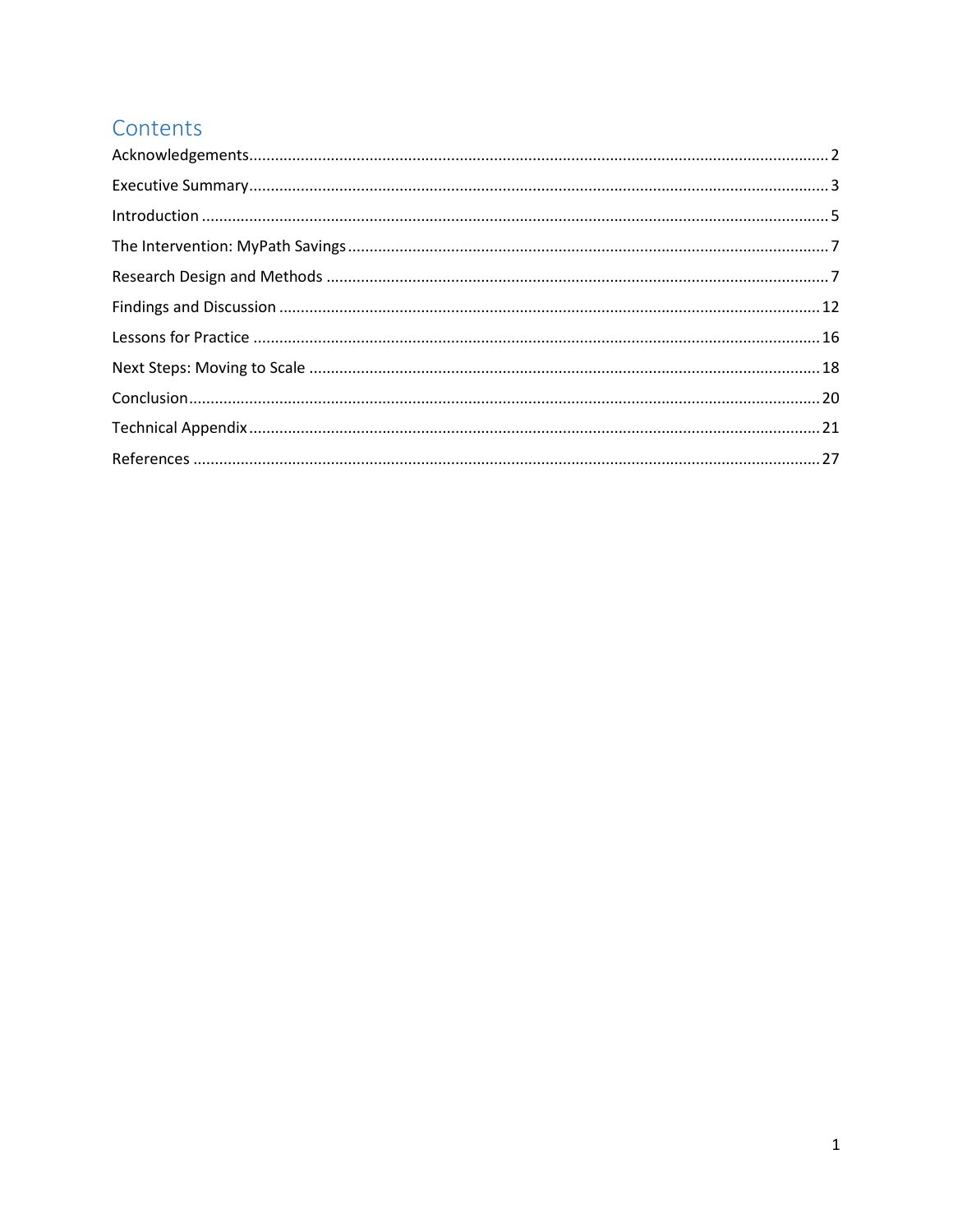## Contents

| $\label{lem:1} \mbox{Introduction} \,\, \ldots \,\, \ldots \,\, \ldots \,\, \ldots \,\, \ldots \,\, \ldots \,\, \ldots \,\, \ldots \,\, \ldots \,\, \ldots \,\, \ldots \,\, \ldots \,\, \ldots \,\, \ldots \,\, \ldots \,\, \ldots \,\, \ldots \,\, \ldots \,\, \ldots \,\, \ldots \,\, \ldots \,\, \ldots \,\, \ldots \,\, \ldots \,\, \ldots \,\, \ldots \,\, \ldots \,\, \ldots \,\, \ldots \,\, \ldots \,\, \ldots \,\, \ldots \,\, \ldots \,\, \ldots \,\,$ |  |
|------------------------------------------------------------------------------------------------------------------------------------------------------------------------------------------------------------------------------------------------------------------------------------------------------------------------------------------------------------------------------------------------------------------------------------------------------------------|--|
|                                                                                                                                                                                                                                                                                                                                                                                                                                                                  |  |
|                                                                                                                                                                                                                                                                                                                                                                                                                                                                  |  |
|                                                                                                                                                                                                                                                                                                                                                                                                                                                                  |  |
|                                                                                                                                                                                                                                                                                                                                                                                                                                                                  |  |
|                                                                                                                                                                                                                                                                                                                                                                                                                                                                  |  |
|                                                                                                                                                                                                                                                                                                                                                                                                                                                                  |  |
|                                                                                                                                                                                                                                                                                                                                                                                                                                                                  |  |
|                                                                                                                                                                                                                                                                                                                                                                                                                                                                  |  |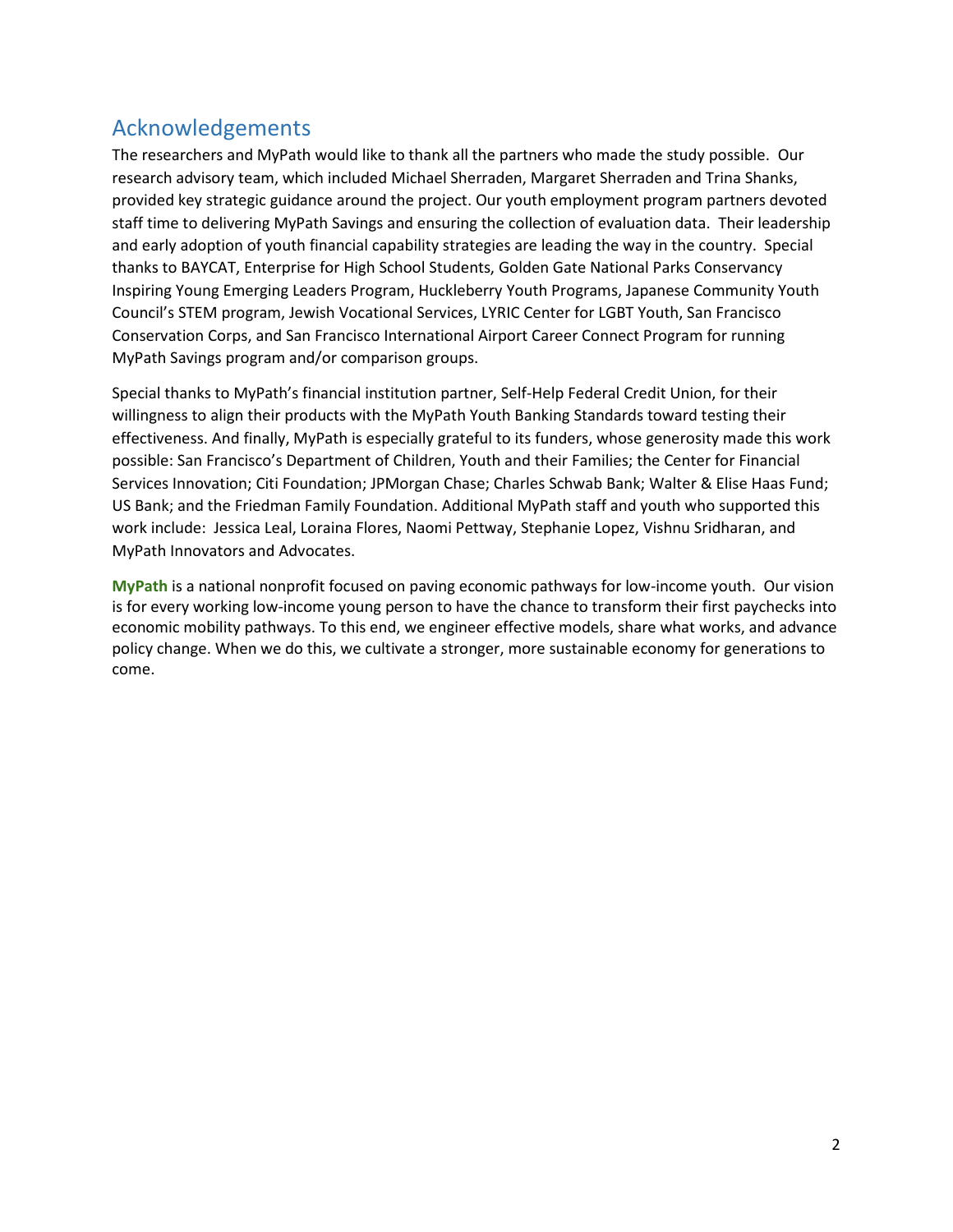## <span id="page-3-0"></span>Acknowledgements

The researchers and MyPath would like to thank all the partners who made the study possible. Our research advisory team, which included Michael Sherraden, Margaret Sherraden and Trina Shanks, provided key strategic guidance around the project. Our youth employment program partners devoted staff time to delivering MyPath Savings and ensuring the collection of evaluation data. Their leadership and early adoption of youth financial capability strategies are leading the way in the country. Special thanks to BAYCAT, Enterprise for High School Students, Golden Gate National Parks Conservancy Inspiring Young Emerging Leaders Program, Huckleberry Youth Programs, Japanese Community Youth Council's STEM program, Jewish Vocational Services, LYRIC Center for LGBT Youth, San Francisco Conservation Corps, and San Francisco International Airport Career Connect Program for running MyPath Savings program and/or comparison groups.

Special thanks to MyPath's financial institution partner, Self-Help Federal Credit Union, for their willingness to align their products with the MyPath Youth Banking Standards toward testing their effectiveness. And finally, MyPath is especially grateful to its funders, whose generosity made this work possible: San Francisco's Department of Children, Youth and their Families; the Center for Financial Services Innovation; Citi Foundation; JPMorgan Chase; Charles Schwab Bank; Walter & Elise Haas Fund; US Bank; and the Friedman Family Foundation. Additional MyPath staff and youth who supported this work include: Jessica Leal, Loraina Flores, Naomi Pettway, Stephanie Lopez, Vishnu Sridharan, and MyPath Innovators and Advocates.

**MyPath** is a national nonprofit focused on paving economic pathways for low-income youth. Our vision is for every working low-income young person to have the chance to transform their first paychecks into economic mobility pathways. To this end, we engineer effective models, share what works, and advance policy change. When we do this, we cultivate a stronger, more sustainable economy for generations to come.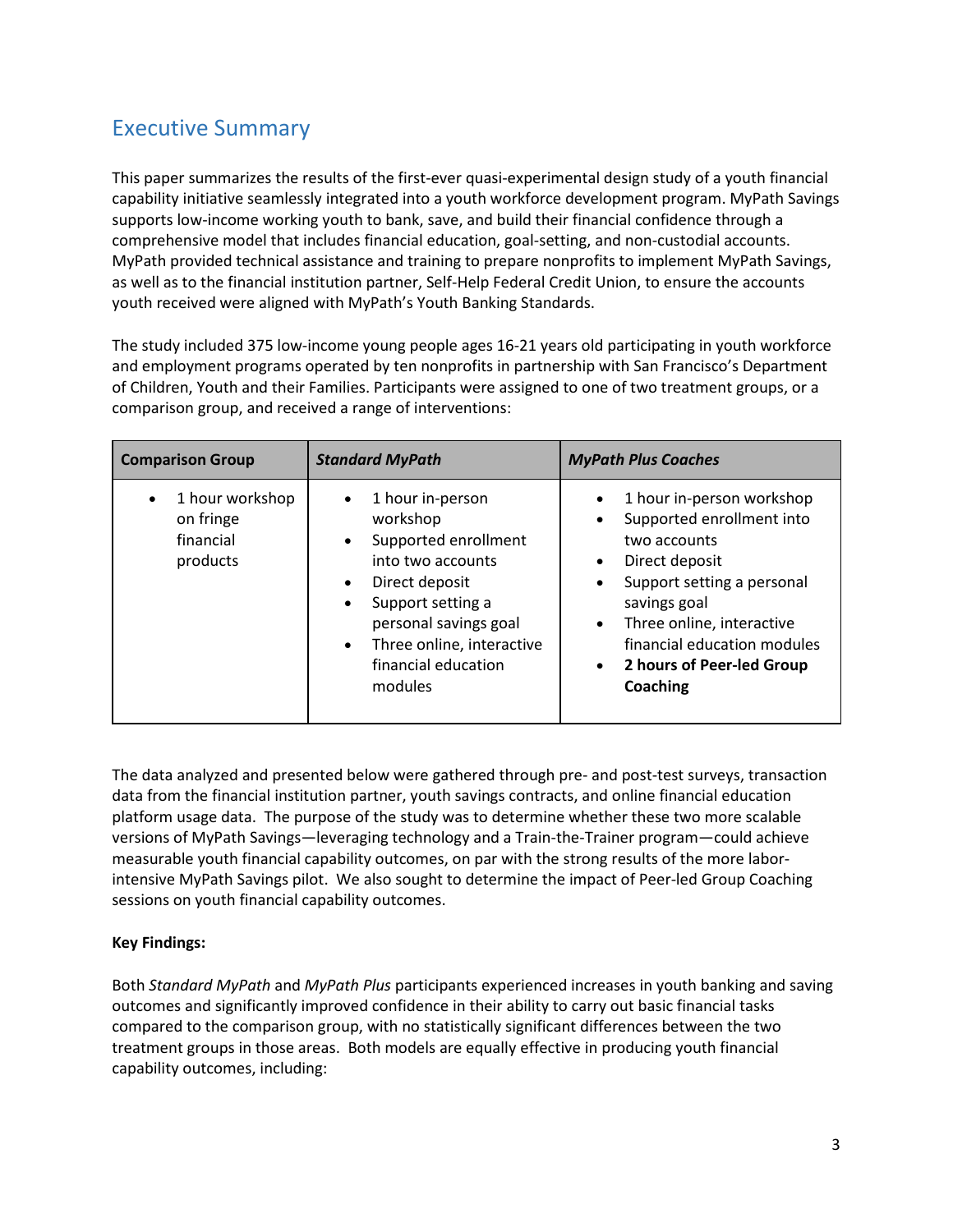## <span id="page-4-0"></span>Executive Summary

This paper summarizes the results of the first-ever quasi-experimental design study of a youth financial capability initiative seamlessly integrated into a youth workforce development program. MyPath Savings supports low-income working youth to bank, save, and build their financial confidence through a comprehensive model that includes financial education, goal-setting, and non-custodial accounts. MyPath provided technical assistance and training to prepare nonprofits to implement MyPath Savings, as well as to the financial institution partner, Self-Help Federal Credit Union, to ensure the accounts youth received were aligned with MyPath's Youth Banking Standards.

The study included 375 low-income young people ages 16-21 years old participating in youth workforce and employment programs operated by ten nonprofits in partnership with San Francisco's Department of Children, Youth and their Families. Participants were assigned to one of two treatment groups, or a comparison group, and received a range of interventions:

| <b>Comparison Group</b>                               | <b>Standard MyPath</b>                                                                                                                                                                                                                                       | <b>MyPath Plus Coaches</b>                                                                                                                                                                                                                                                                                                |
|-------------------------------------------------------|--------------------------------------------------------------------------------------------------------------------------------------------------------------------------------------------------------------------------------------------------------------|---------------------------------------------------------------------------------------------------------------------------------------------------------------------------------------------------------------------------------------------------------------------------------------------------------------------------|
| 1 hour workshop<br>on fringe<br>financial<br>products | 1 hour in-person<br>workshop<br>Supported enrollment<br>$\bullet$<br>into two accounts<br>Direct deposit<br>$\bullet$<br>Support setting a<br>$\bullet$<br>personal savings goal<br>Three online, interactive<br>$\bullet$<br>financial education<br>modules | 1 hour in-person workshop<br>$\bullet$<br>Supported enrollment into<br>$\bullet$<br>two accounts<br>Direct deposit<br>$\bullet$<br>Support setting a personal<br>$\bullet$<br>savings goal<br>Three online, interactive<br>$\bullet$<br>financial education modules<br>2 hours of Peer-led Group<br>$\bullet$<br>Coaching |

The data analyzed and presented below were gathered through pre- and post-test surveys, transaction data from the financial institution partner, youth savings contracts, and online financial education platform usage data. The purpose of the study was to determine whether these two more scalable versions of MyPath Savings—leveraging technology and a Train-the-Trainer program—could achieve measurable youth financial capability outcomes, on par with the strong results of the more laborintensive MyPath Savings pilot. We also sought to determine the impact of Peer-led Group Coaching sessions on youth financial capability outcomes.

#### **Key Findings:**

Both *Standard MyPath* and *MyPath Plus* participants experienced increases in youth banking and saving outcomes and significantly improved confidence in their ability to carry out basic financial tasks compared to the comparison group, with no statistically significant differences between the two treatment groups in those areas. Both models are equally effective in producing youth financial capability outcomes, including: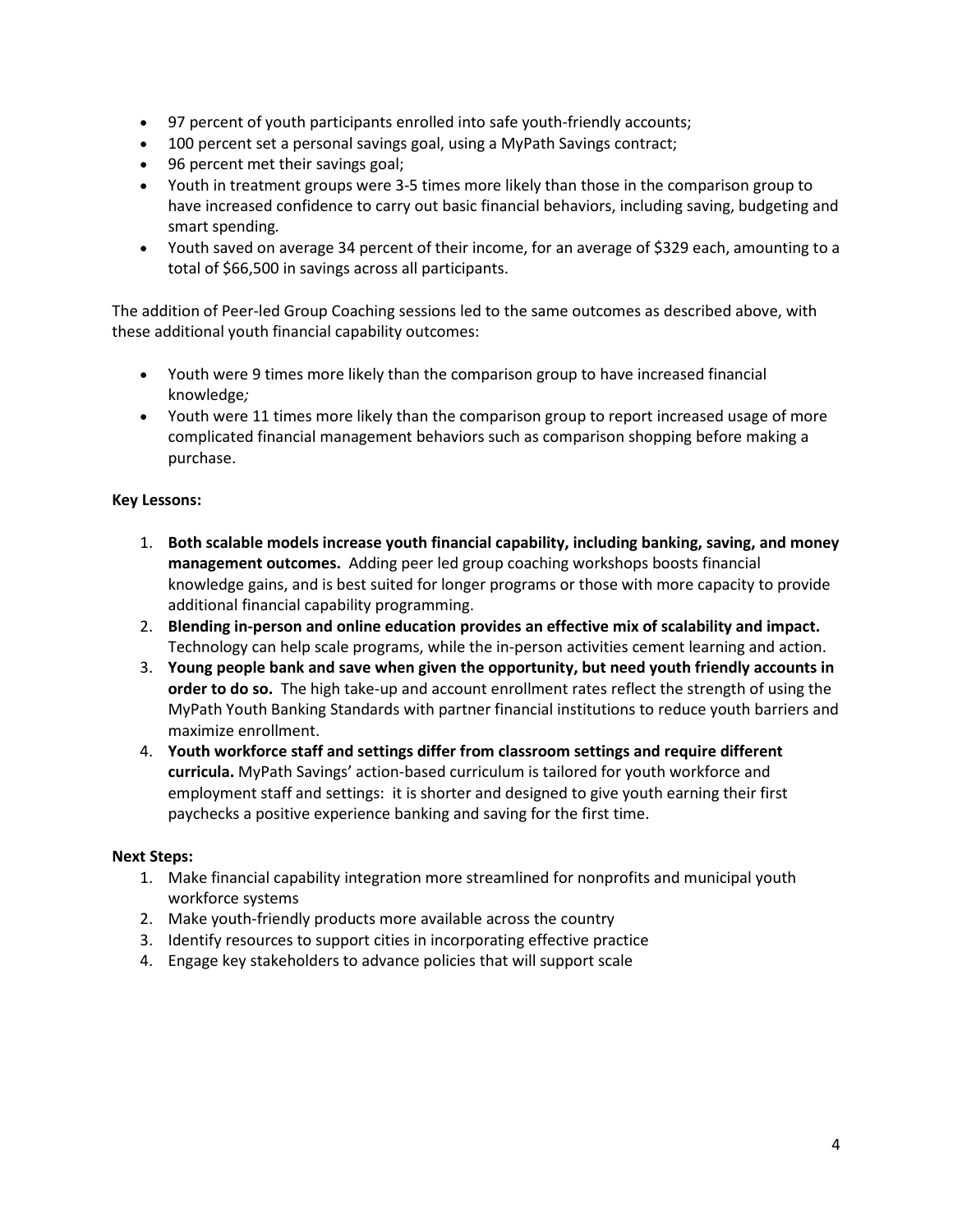- 97 percent of youth participants enrolled into safe youth-friendly accounts;
- 100 percent set a personal savings goal, using a MyPath Savings contract;
- 96 percent met their savings goal;
- Youth in treatment groups were 3-5 times more likely than those in the comparison group to have increased confidence to carry out basic financial behaviors, including saving, budgeting and smart spending*.*
- Youth saved on average 34 percent of their income, for an average of \$329 each, amounting to a total of \$66,500 in savings across all participants.

The addition of Peer-led Group Coaching sessions led to the same outcomes as described above, with these additional youth financial capability outcomes:

- Youth were 9 times more likely than the comparison group to have increased financial knowledge*;*
- Youth were 11 times more likely than the comparison group to report increased usage of more complicated financial management behaviors such as comparison shopping before making a purchase.

#### **Key Lessons:**

- 1. **Both scalable models increase youth financial capability, including banking, saving, and money management outcomes.** Adding peer led group coaching workshops boosts financial knowledge gains, and is best suited for longer programs or those with more capacity to provide additional financial capability programming.
- 2. **Blending in-person and online education provides an effective mix of scalability and impact.**  Technology can help scale programs, while the in-person activities cement learning and action.
- 3. **Young people bank and save when given the opportunity, but need youth friendly accounts in order to do so.** The high take-up and account enrollment rates reflect the strength of using the MyPath Youth Banking Standards with partner financial institutions to reduce youth barriers and maximize enrollment.
- 4. **Youth workforce staff and settings differ from classroom settings and require different curricula.** MyPath Savings' action-based curriculum is tailored for youth workforce and employment staff and settings: it is shorter and designed to give youth earning their first paychecks a positive experience banking and saving for the first time.

#### **Next Steps:**

- 1. Make financial capability integration more streamlined for nonprofits and municipal youth workforce systems
- 2. Make youth-friendly products more available across the country
- 3. Identify resources to support cities in incorporating effective practice
- 4. Engage key stakeholders to advance policies that will support scale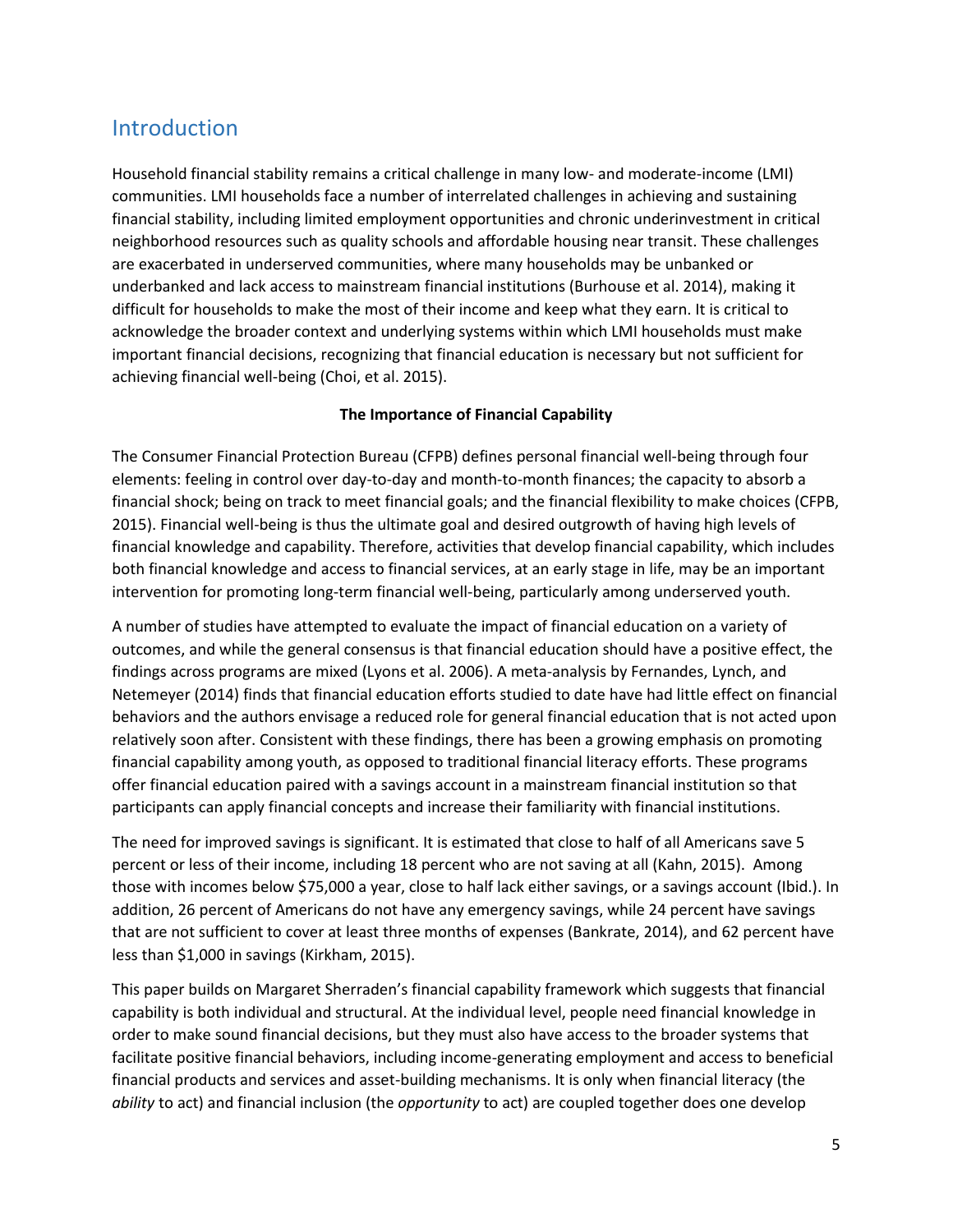## <span id="page-6-0"></span>Introduction

Household financial stability remains a critical challenge in many low- and moderate-income (LMI) communities. LMI households face a number of interrelated challenges in achieving and sustaining financial stability, including limited employment opportunities and chronic underinvestment in critical neighborhood resources such as quality schools and affordable housing near transit. These challenges are exacerbated in underserved communities, where many households may be unbanked or underbanked and lack access to mainstream financial institutions (Burhouse et al. 2014), making it difficult for households to make the most of their income and keep what they earn. It is critical to acknowledge the broader context and underlying systems within which LMI households must make important financial decisions, recognizing that financial education is necessary but not sufficient for achieving financial well-being (Choi, et al. 2015).

#### **The Importance of Financial Capability**

The Consumer Financial Protection Bureau (CFPB) defines personal financial well-being through four elements: feeling in control over day-to-day and month-to-month finances; the capacity to absorb a financial shock; being on track to meet financial goals; and the financial flexibility to make choices (CFPB, 2015). Financial well-being is thus the ultimate goal and desired outgrowth of having high levels of financial knowledge and capability. Therefore, activities that develop financial capability, which includes both financial knowledge and access to financial services, at an early stage in life, may be an important intervention for promoting long-term financial well-being, particularly among underserved youth.

A number of studies have attempted to evaluate the impact of financial education on a variety of outcomes, and while the general consensus is that financial education should have a positive effect, the findings across programs are mixed (Lyons et al. 2006). A meta-analysis by Fernandes, Lynch, and Netemeyer (2014) finds that financial education efforts studied to date have had little effect on financial behaviors and the authors envisage a reduced role for general financial education that is not acted upon relatively soon after. Consistent with these findings, there has been a growing emphasis on promoting financial capability among youth, as opposed to traditional financial literacy efforts. These programs offer financial education paired with a savings account in a mainstream financial institution so that participants can apply financial concepts and increase their familiarity with financial institutions.

The need for improved savings is significant. It is estimated that close to half of all Americans save 5 percent or less of their income, including 18 percent who are not saving at all (Kahn, 2015). Among those with incomes below \$75,000 a year, close to half lack either savings, or a savings account (Ibid.). In addition, 26 percent of Americans do not have any emergency savings, while 24 percent have savings that are not sufficient to cover at least three months of expenses (Bankrate, 2014), and 62 percent have less than \$1,000 in savings (Kirkham, 2015).

This paper builds on Margaret Sherraden's financial capability framework which suggests that financial capability is both individual and structural. At the individual level, people need financial knowledge in order to make sound financial decisions, but they must also have access to the broader systems that facilitate positive financial behaviors, including income-generating employment and access to beneficial financial products and services and asset-building mechanisms. It is only when financial literacy (the *ability* to act) and financial inclusion (the *opportunity* to act) are coupled together does one develop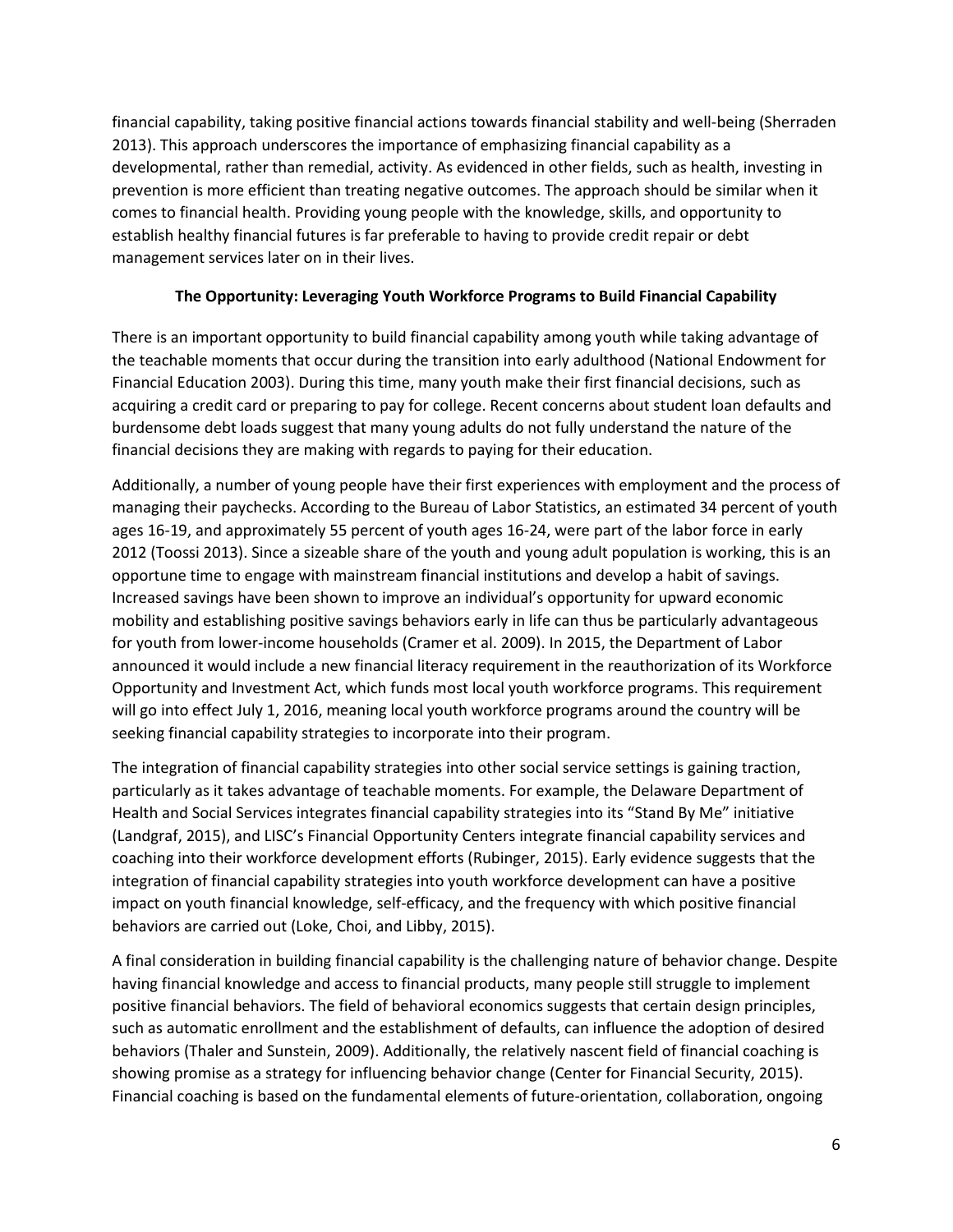financial capability, taking positive financial actions towards financial stability and well-being (Sherraden 2013). This approach underscores the importance of emphasizing financial capability as a developmental, rather than remedial, activity. As evidenced in other fields, such as health, investing in prevention is more efficient than treating negative outcomes. The approach should be similar when it comes to financial health. Providing young people with the knowledge, skills, and opportunity to establish healthy financial futures is far preferable to having to provide credit repair or debt management services later on in their lives.

#### **The Opportunity: Leveraging Youth Workforce Programs to Build Financial Capability**

There is an important opportunity to build financial capability among youth while taking advantage of the teachable moments that occur during the transition into early adulthood (National Endowment for Financial Education 2003). During this time, many youth make their first financial decisions, such as acquiring a credit card or preparing to pay for college. Recent concerns about student loan defaults and burdensome debt loads suggest that many young adults do not fully understand the nature of the financial decisions they are making with regards to paying for their education.

Additionally, a number of young people have their first experiences with employment and the process of managing their paychecks. According to the Bureau of Labor Statistics, an estimated 34 percent of youth ages 16-19, and approximately 55 percent of youth ages 16-24, were part of the labor force in early 2012 (Toossi 2013). Since a sizeable share of the youth and young adult population is working, this is an opportune time to engage with mainstream financial institutions and develop a habit of savings. Increased savings have been shown to improve an individual's opportunity for upward economic mobility and establishing positive savings behaviors early in life can thus be particularly advantageous for youth from lower-income households (Cramer et al. 2009). In 2015, the Department of Labor announced it would include a new financial literacy requirement in the reauthorization of its Workforce Opportunity and Investment Act, which funds most local youth workforce programs. This requirement will go into effect July 1, 2016, meaning local youth workforce programs around the country will be seeking financial capability strategies to incorporate into their program.

The integration of financial capability strategies into other social service settings is gaining traction, particularly as it takes advantage of teachable moments. For example, the Delaware Department of Health and Social Services integrates financial capability strategies into its "Stand By Me" initiative (Landgraf, 2015), and LISC's Financial Opportunity Centers integrate financial capability services and coaching into their workforce development efforts (Rubinger, 2015). Early evidence suggests that the integration of financial capability strategies into youth workforce development can have a positive impact on youth financial knowledge, self-efficacy, and the frequency with which positive financial behaviors are carried out (Loke, Choi, and Libby, 2015).

A final consideration in building financial capability is the challenging nature of behavior change. Despite having financial knowledge and access to financial products, many people still struggle to implement positive financial behaviors. The field of behavioral economics suggests that certain design principles, such as automatic enrollment and the establishment of defaults, can influence the adoption of desired behaviors (Thaler and Sunstein, 2009). Additionally, the relatively nascent field of financial coaching is showing promise as a strategy for influencing behavior change (Center for Financial Security, 2015). Financial coaching is based on the fundamental elements of future-orientation, collaboration, ongoing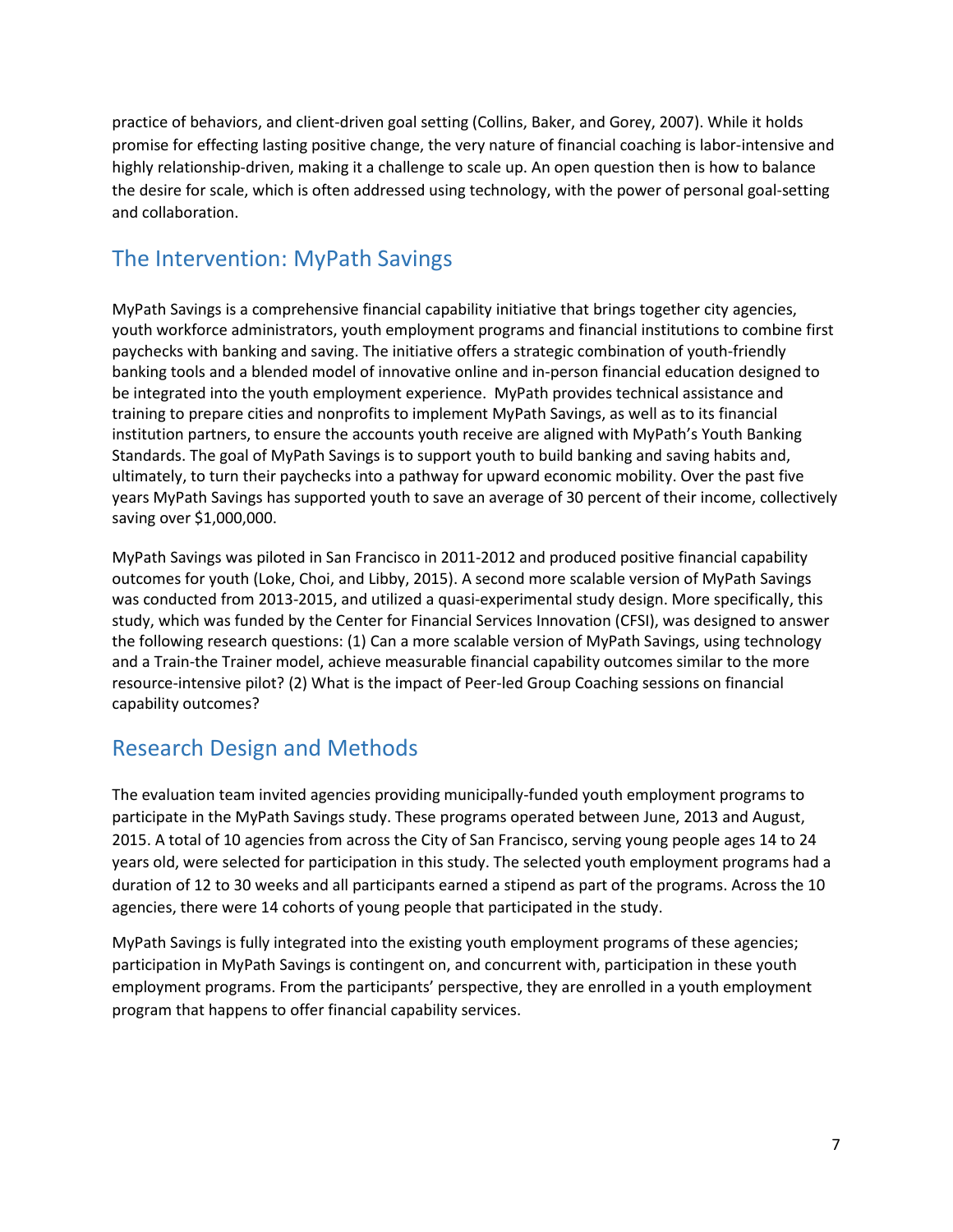practice of behaviors, and client-driven goal setting (Collins, Baker, and Gorey, 2007). While it holds promise for effecting lasting positive change, the very nature of financial coaching is labor-intensive and highly relationship-driven, making it a challenge to scale up. An open question then is how to balance the desire for scale, which is often addressed using technology, with the power of personal goal-setting and collaboration.

## <span id="page-8-0"></span>The Intervention: MyPath Savings

MyPath Savings is a comprehensive financial capability initiative that brings together city agencies, youth workforce administrators, youth employment programs and financial institutions to combine first paychecks with banking and saving. The initiative offers a strategic combination of youth-friendly banking tools and a blended model of innovative online and in-person financial education designed to be integrated into the youth employment experience. MyPath provides technical assistance and training to prepare cities and nonprofits to implement MyPath Savings, as well as to its financial institution partners, to ensure the accounts youth receive are aligned with MyPath's Youth Banking Standards. The goal of MyPath Savings is to support youth to build banking and saving habits and, ultimately, to turn their paychecks into a pathway for upward economic mobility. Over the past five years MyPath Savings has supported youth to save an average of 30 percent of their income, collectively saving over \$1,000,000.

MyPath Savings was piloted in San Francisco in 2011-2012 and produced positive financial capability outcomes for youth (Loke, Choi, and Libby, 2015). A second more scalable version of MyPath Savings was conducted from 2013-2015, and utilized a quasi-experimental study design. More specifically, this study, which was funded by the Center for Financial Services Innovation (CFSI), was designed to answer the following research questions: (1) Can a more scalable version of MyPath Savings, using technology and a Train-the Trainer model, achieve measurable financial capability outcomes similar to the more resource-intensive pilot? (2) What is the impact of Peer-led Group Coaching sessions on financial capability outcomes?

### <span id="page-8-1"></span>Research Design and Methods

The evaluation team invited agencies providing municipally-funded youth employment programs to participate in the MyPath Savings study. These programs operated between June, 2013 and August, 2015. A total of 10 agencies from across the City of San Francisco, serving young people ages 14 to 24 years old, were selected for participation in this study. The selected youth employment programs had a duration of 12 to 30 weeks and all participants earned a stipend as part of the programs. Across the 10 agencies, there were 14 cohorts of young people that participated in the study.

MyPath Savings is fully integrated into the existing youth employment programs of these agencies; participation in MyPath Savings is contingent on, and concurrent with, participation in these youth employment programs. From the participants' perspective, they are enrolled in a youth employment program that happens to offer financial capability services.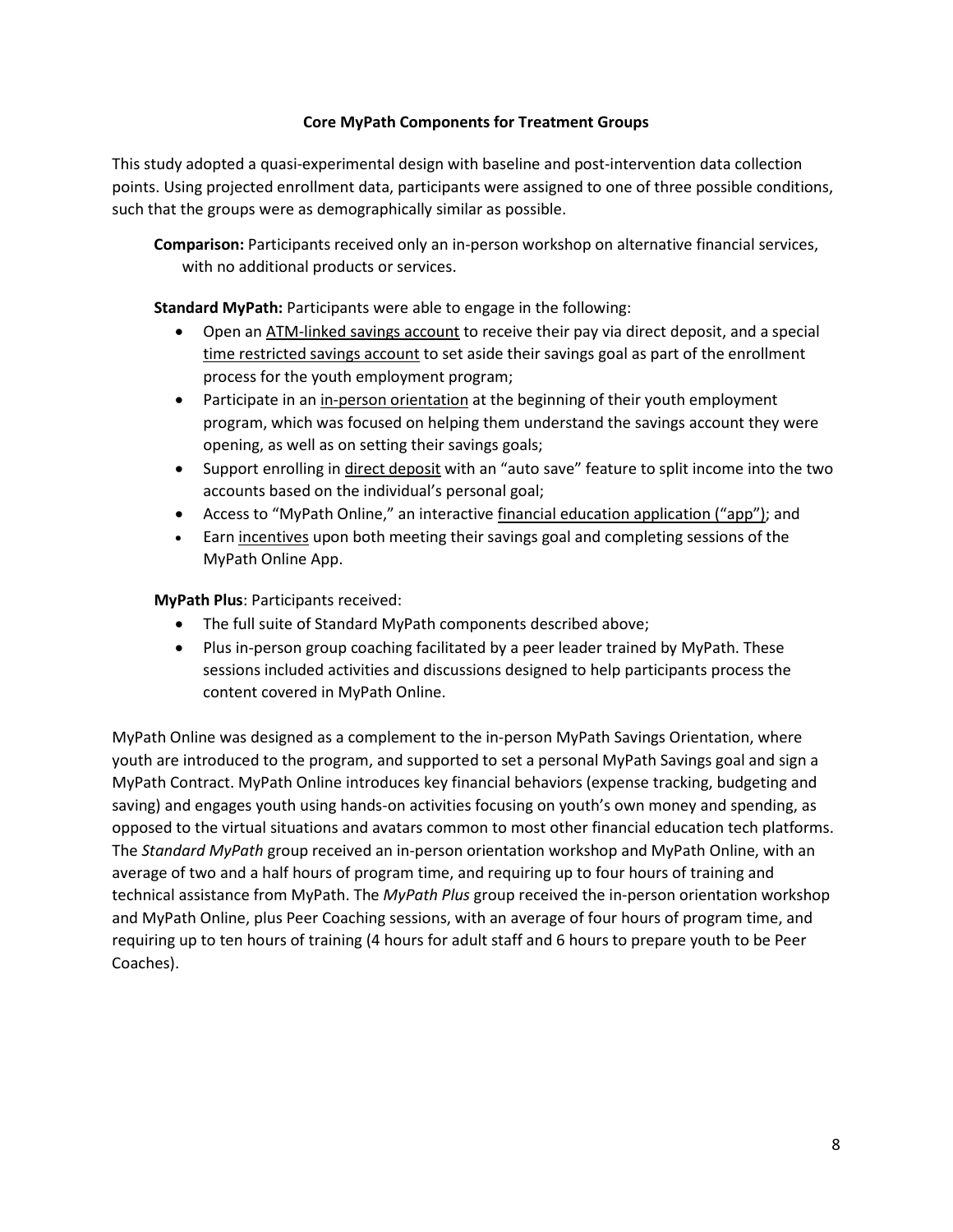#### **Core MyPath Components for Treatment Groups**

This study adopted a quasi-experimental design with baseline and post-intervention data collection points. Using projected enrollment data, participants were assigned to one of three possible conditions, such that the groups were as demographically similar as possible.

**Comparison:** Participants received only an in-person workshop on alternative financial services, with no additional products or services.

**Standard MyPath:** Participants were able to engage in the following:

- Open an ATM-linked savings account to receive their pay via direct deposit, and a special time restricted savings account to set aside their savings goal as part of the enrollment process for the youth employment program;
- Participate in an in-person orientation at the beginning of their youth employment program, which was focused on helping them understand the savings account they were opening, as well as on setting their savings goals;
- Support enrolling in direct deposit with an "auto save" feature to split income into the two accounts based on the individual's personal goal;
- Access to "MyPath Online," an interactive financial education application ("app"); and
- Earn incentives upon both meeting their savings goal and completing sessions of the MyPath Online App.

**MyPath Plus**: Participants received:

- The full suite of Standard MyPath components described above;
- Plus in-person group coaching facilitated by a peer leader trained by MyPath. These sessions included activities and discussions designed to help participants process the content covered in MyPath Online.

MyPath Online was designed as a complement to the in-person MyPath Savings Orientation, where youth are introduced to the program, and supported to set a personal MyPath Savings goal and sign a MyPath Contract. MyPath Online introduces key financial behaviors (expense tracking, budgeting and saving) and engages youth using hands-on activities focusing on youth's own money and spending, as opposed to the virtual situations and avatars common to most other financial education tech platforms. The *Standard MyPath* group received an in-person orientation workshop and MyPath Online, with an average of two and a half hours of program time, and requiring up to four hours of training and technical assistance from MyPath. The *MyPath Plus* group received the in-person orientation workshop and MyPath Online, plus Peer Coaching sessions, with an average of four hours of program time, and requiring up to ten hours of training (4 hours for adult staff and 6 hours to prepare youth to be Peer Coaches).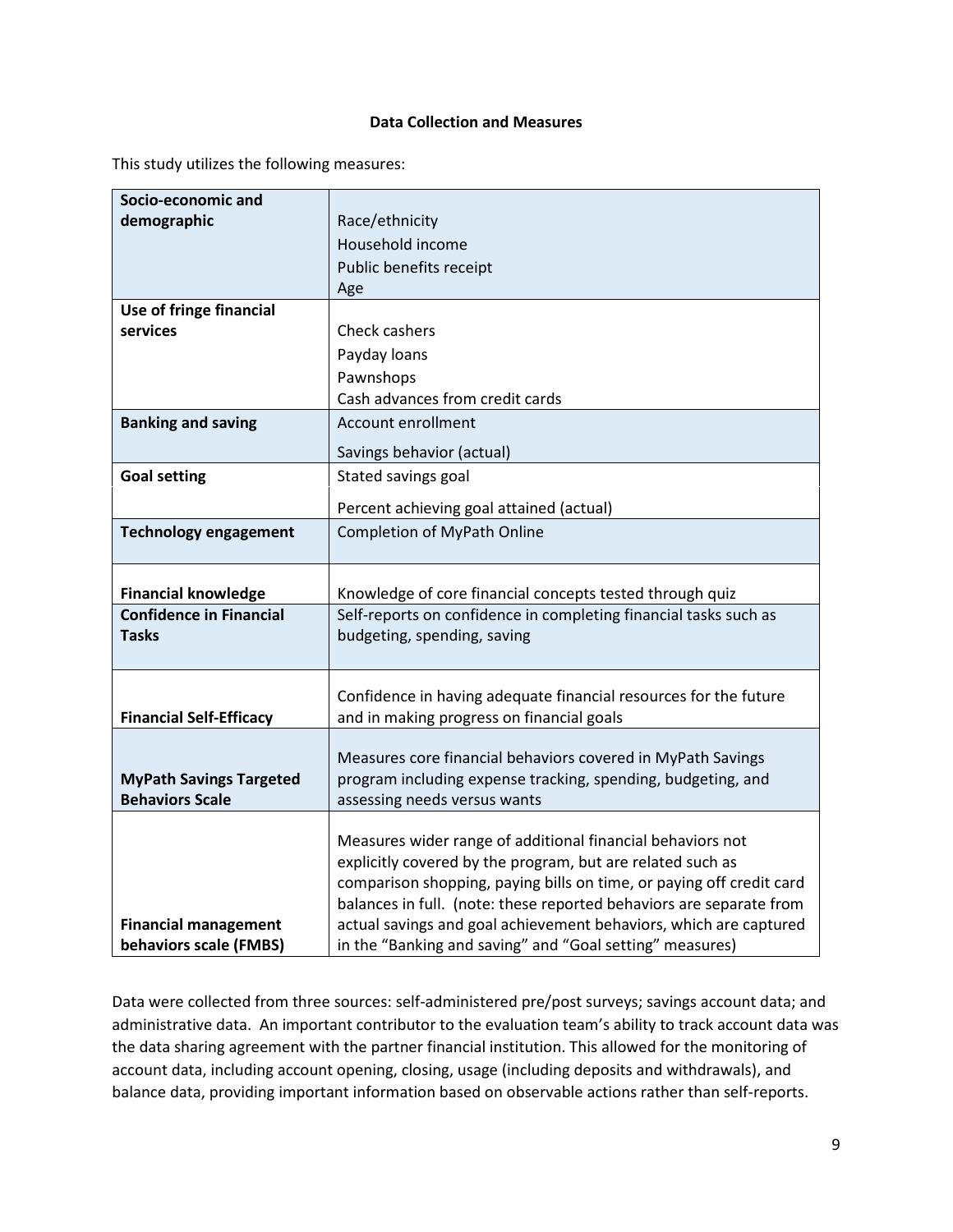#### **Data Collection and Measures**

This study utilizes the following measures:

| Socio-economic and             |                                                                                                                          |
|--------------------------------|--------------------------------------------------------------------------------------------------------------------------|
| demographic                    | Race/ethnicity                                                                                                           |
|                                | Household income                                                                                                         |
|                                | Public benefits receipt                                                                                                  |
|                                | Age                                                                                                                      |
| Use of fringe financial        |                                                                                                                          |
| services                       | Check cashers                                                                                                            |
|                                | Payday loans                                                                                                             |
|                                | Pawnshops                                                                                                                |
|                                | Cash advances from credit cards                                                                                          |
| <b>Banking and saving</b>      | Account enrollment                                                                                                       |
|                                | Savings behavior (actual)                                                                                                |
| <b>Goal setting</b>            | Stated savings goal                                                                                                      |
|                                | Percent achieving goal attained (actual)                                                                                 |
| <b>Technology engagement</b>   | <b>Completion of MyPath Online</b>                                                                                       |
|                                |                                                                                                                          |
| <b>Financial knowledge</b>     | Knowledge of core financial concepts tested through quiz                                                                 |
| <b>Confidence in Financial</b> | Self-reports on confidence in completing financial tasks such as                                                         |
| <b>Tasks</b>                   | budgeting, spending, saving                                                                                              |
|                                |                                                                                                                          |
|                                | Confidence in having adequate financial resources for the future                                                         |
| <b>Financial Self-Efficacy</b> | and in making progress on financial goals                                                                                |
|                                |                                                                                                                          |
|                                | Measures core financial behaviors covered in MyPath Savings                                                              |
| <b>MyPath Savings Targeted</b> | program including expense tracking, spending, budgeting, and                                                             |
| <b>Behaviors Scale</b>         | assessing needs versus wants                                                                                             |
|                                |                                                                                                                          |
|                                | Measures wider range of additional financial behaviors not<br>explicitly covered by the program, but are related such as |
|                                | comparison shopping, paying bills on time, or paying off credit card                                                     |
|                                | balances in full. (note: these reported behaviors are separate from                                                      |
| <b>Financial management</b>    | actual savings and goal achievement behaviors, which are captured                                                        |
| behaviors scale (FMBS)         | in the "Banking and saving" and "Goal setting" measures)                                                                 |

Data were collected from three sources: self-administered pre/post surveys; savings account data; and administrative data. An important contributor to the evaluation team's ability to track account data was the data sharing agreement with the partner financial institution. This allowed for the monitoring of account data, including account opening, closing, usage (including deposits and withdrawals), and balance data, providing important information based on observable actions rather than self-reports.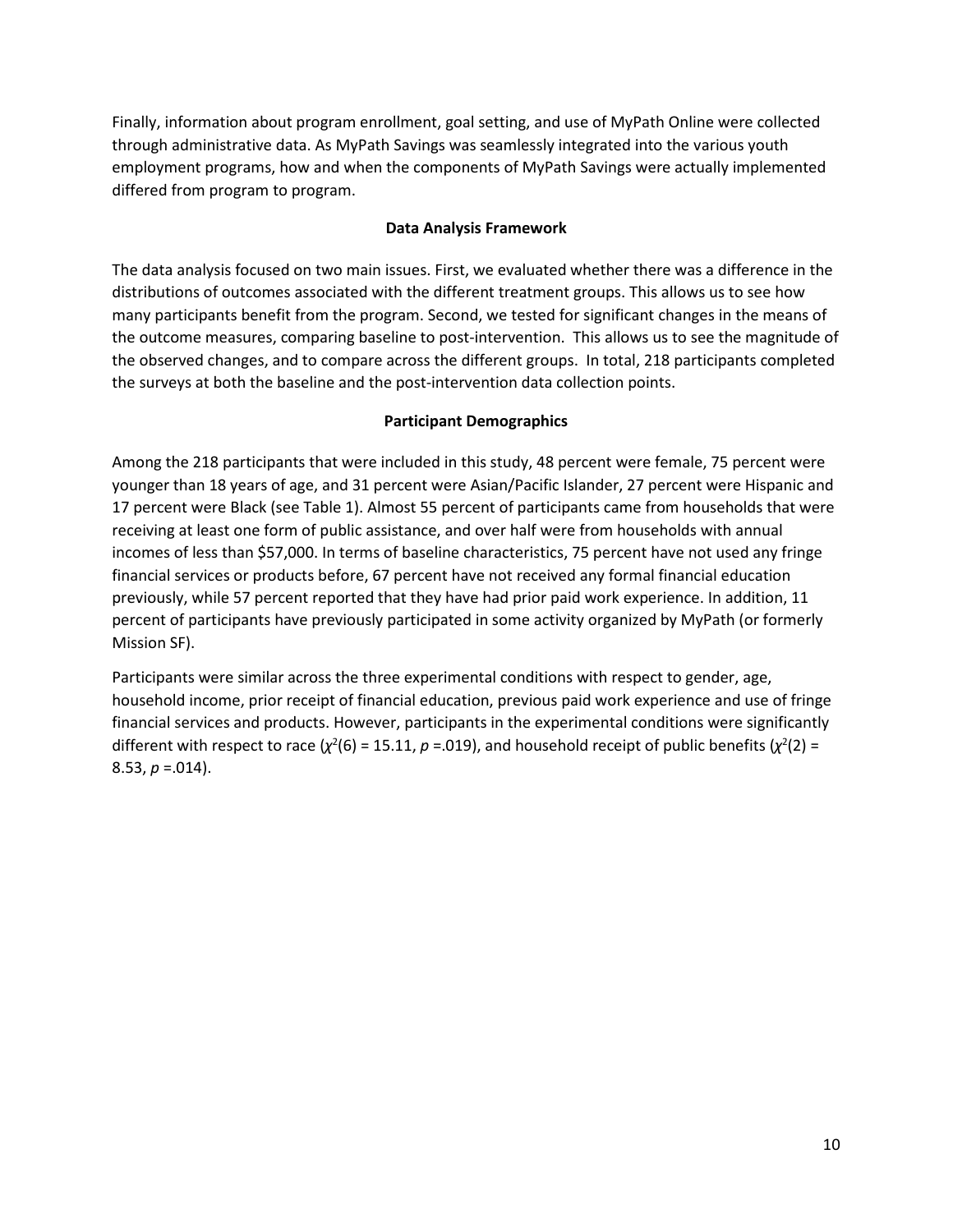Finally, information about program enrollment, goal setting, and use of MyPath Online were collected through administrative data. As MyPath Savings was seamlessly integrated into the various youth employment programs, how and when the components of MyPath Savings were actually implemented differed from program to program.

#### **Data Analysis Framework**

The data analysis focused on two main issues. First, we evaluated whether there was a difference in the distributions of outcomes associated with the different treatment groups. This allows us to see how many participants benefit from the program. Second, we tested for significant changes in the means of the outcome measures, comparing baseline to post-intervention. This allows us to see the magnitude of the observed changes, and to compare across the different groups. In total, 218 participants completed the surveys at both the baseline and the post-intervention data collection points.

#### **Participant Demographics**

Among the 218 participants that were included in this study, 48 percent were female, 75 percent were younger than 18 years of age, and 31 percent were Asian/Pacific Islander, 27 percent were Hispanic and 17 percent were Black (see Table 1). Almost 55 percent of participants came from households that were receiving at least one form of public assistance, and over half were from households with annual incomes of less than \$57,000. In terms of baseline characteristics, 75 percent have not used any fringe financial services or products before, 67 percent have not received any formal financial education previously, while 57 percent reported that they have had prior paid work experience. In addition, 11 percent of participants have previously participated in some activity organized by MyPath (or formerly Mission SF).

Participants were similar across the three experimental conditions with respect to gender, age, household income, prior receipt of financial education, previous paid work experience and use of fringe financial services and products. However, participants in the experimental conditions were significantly different with respect to race  $(\chi^2(6) = 15.11, p = .019)$ , and household receipt of public benefits  $(\chi^2(2) =$ 8.53, *p* =.014).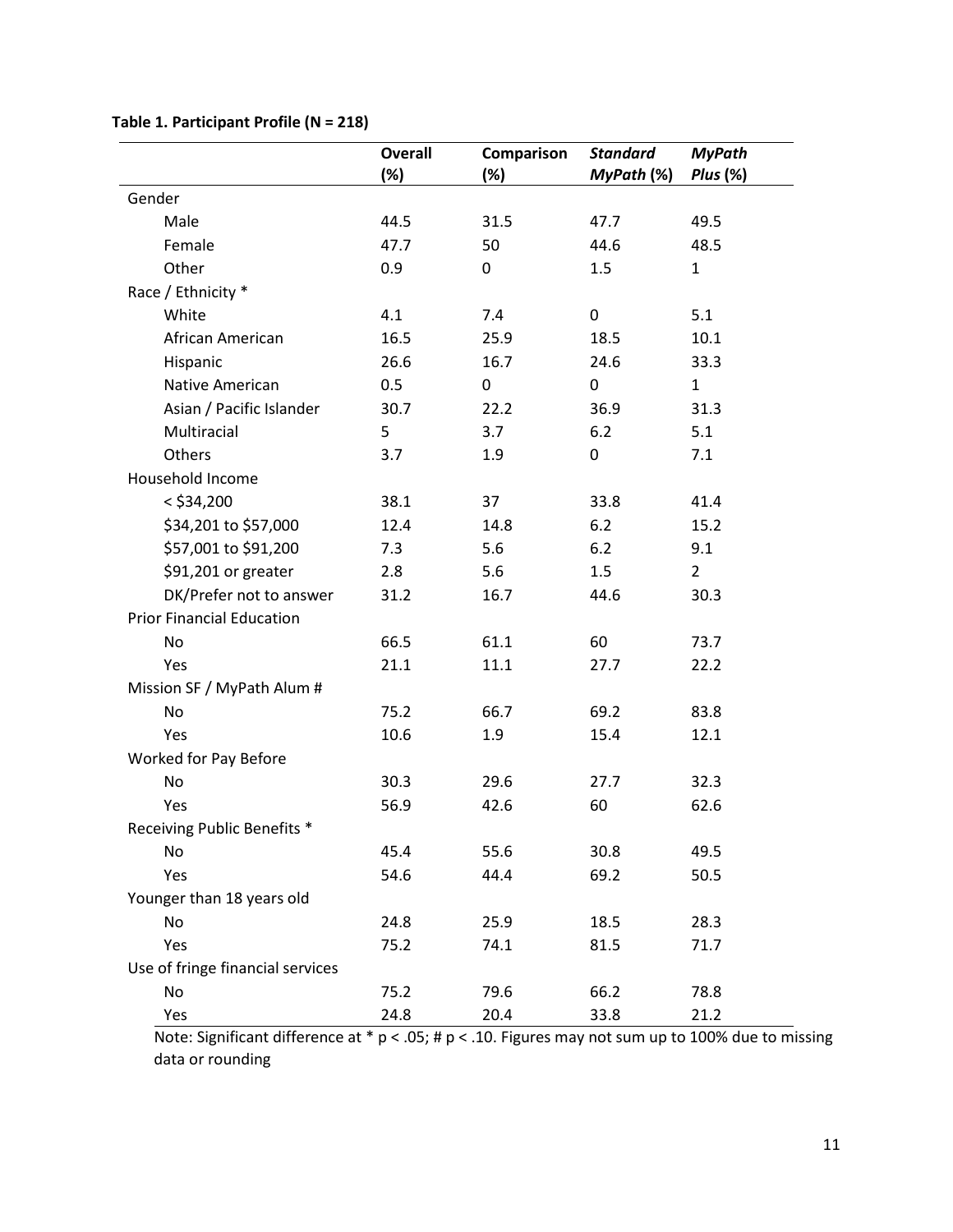|                                  | <b>Overall</b><br>$(\%)$ | Comparison<br>$(\%)$ | <b>Standard</b><br>MyPath (%) | <b>MyPath</b><br><b>Plus (%)</b> |  |  |
|----------------------------------|--------------------------|----------------------|-------------------------------|----------------------------------|--|--|
| Gender                           |                          |                      |                               |                                  |  |  |
| Male                             | 44.5                     | 31.5                 | 47.7                          | 49.5                             |  |  |
| Female                           | 47.7                     | 50                   | 44.6                          | 48.5                             |  |  |
| Other                            | 0.9                      | 0                    | 1.5                           | $\mathbf{1}$                     |  |  |
| Race / Ethnicity *               |                          |                      |                               |                                  |  |  |
| White                            | 4.1                      | 7.4                  | 0                             | 5.1                              |  |  |
| African American                 | 16.5                     | 25.9                 | 18.5                          | 10.1                             |  |  |
| Hispanic                         | 26.6                     | 16.7                 | 24.6                          | 33.3                             |  |  |
| Native American                  | 0.5                      | 0                    | 0                             | $\mathbf{1}$                     |  |  |
| Asian / Pacific Islander         | 30.7                     | 22.2                 | 36.9                          | 31.3                             |  |  |
| Multiracial                      | 5                        | 3.7                  | 6.2                           | 5.1                              |  |  |
| Others                           | 3.7                      | 1.9                  | 0                             | 7.1                              |  |  |
| Household Income                 |                          |                      |                               |                                  |  |  |
| $<$ \$34,200                     | 38.1                     | 37                   | 33.8                          | 41.4                             |  |  |
| \$34,201 to \$57,000             | 12.4                     | 14.8                 | 6.2                           | 15.2                             |  |  |
| \$57,001 to \$91,200             | 7.3                      | 5.6                  | 6.2                           | 9.1                              |  |  |
| \$91,201 or greater              | 2.8                      | 5.6                  | 1.5                           | $\overline{2}$                   |  |  |
| DK/Prefer not to answer          | 31.2                     | 16.7                 | 44.6                          | 30.3                             |  |  |
| <b>Prior Financial Education</b> |                          |                      |                               |                                  |  |  |
| No                               | 66.5                     | 61.1                 | 60                            | 73.7                             |  |  |
| Yes                              | 21.1                     | 11.1                 | 27.7                          | 22.2                             |  |  |
| Mission SF / MyPath Alum #       |                          |                      |                               |                                  |  |  |
| <b>No</b>                        | 75.2                     | 66.7                 | 69.2                          | 83.8                             |  |  |
| Yes                              | 10.6                     | 1.9                  | 15.4                          | 12.1                             |  |  |
| Worked for Pay Before            |                          |                      |                               |                                  |  |  |
| <b>No</b>                        | 30.3                     | 29.6                 | 27.7                          | 32.3                             |  |  |
| Yes                              | 56.9                     | 42.6                 | 60                            | 62.6                             |  |  |
| Receiving Public Benefits *      |                          |                      |                               |                                  |  |  |
| No                               | 45.4                     | 55.6                 | 30.8                          | 49.5                             |  |  |
| Yes                              | 54.6                     | 44.4                 | 69.2                          | 50.5                             |  |  |
| Younger than 18 years old        |                          |                      |                               |                                  |  |  |
| No                               | 24.8                     | 25.9                 | 18.5                          | 28.3                             |  |  |
| Yes                              | 75.2                     | 74.1                 | 81.5                          | 71.7                             |  |  |
| Use of fringe financial services |                          |                      |                               |                                  |  |  |
| No                               | 75.2                     | 79.6                 | 66.2                          | 78.8                             |  |  |
| Yes                              | 24.8                     | 20.4                 | 33.8                          | 21.2                             |  |  |

#### **Table 1. Participant Profile (N = 218)**

Note: Significant difference at  $* p < .05$ ; # p < .10. Figures may not sum up to 100% due to missing data or rounding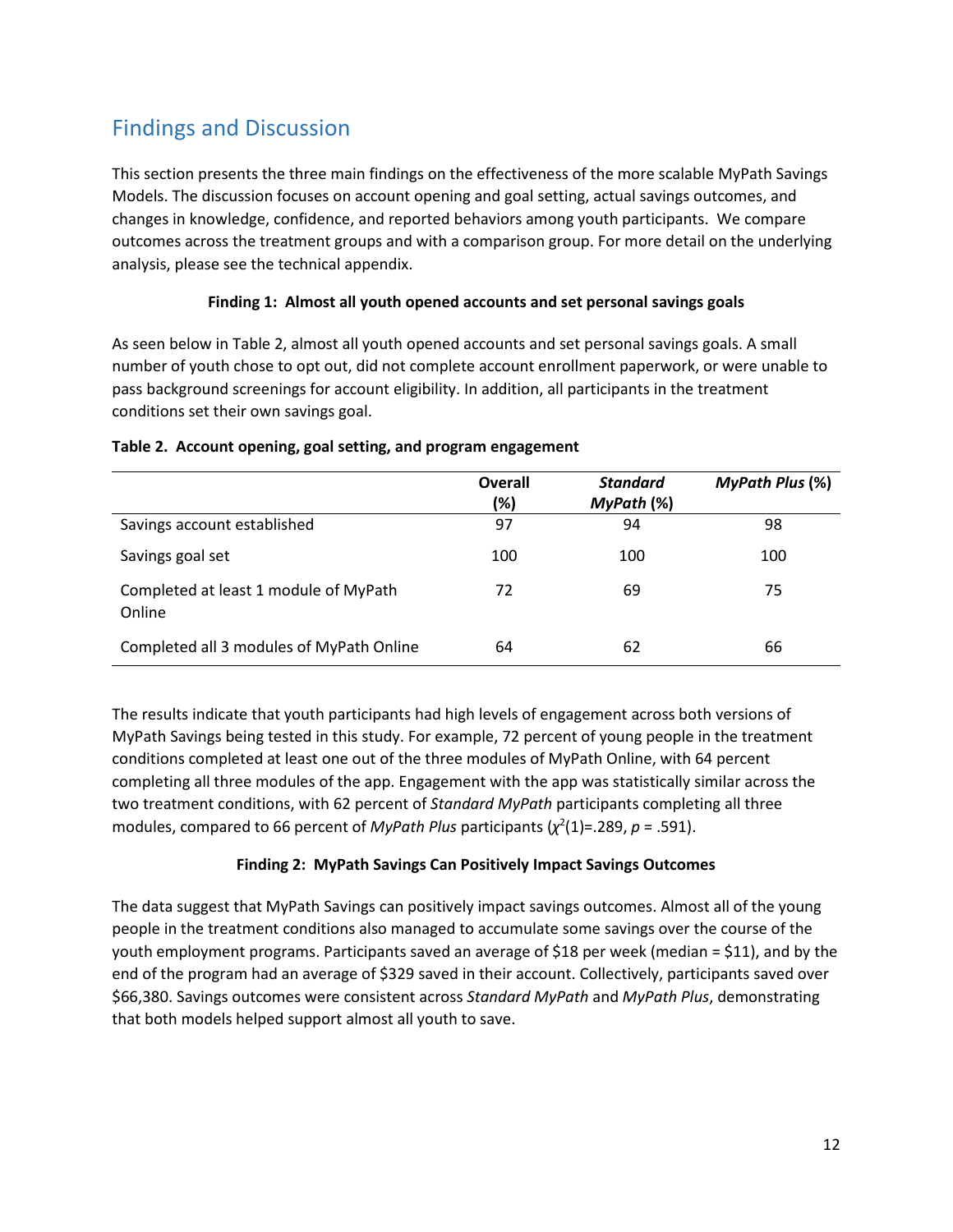## <span id="page-13-0"></span>Findings and Discussion

This section presents the three main findings on the effectiveness of the more scalable MyPath Savings Models. The discussion focuses on account opening and goal setting, actual savings outcomes, and changes in knowledge, confidence, and reported behaviors among youth participants. We compare outcomes across the treatment groups and with a comparison group. For more detail on the underlying analysis, please see the technical appendix.

#### **Finding 1: Almost all youth opened accounts and set personal savings goals**

As seen below in Table 2, almost all youth opened accounts and set personal savings goals. A small number of youth chose to opt out, did not complete account enrollment paperwork, or were unable to pass background screenings for account eligibility. In addition, all participants in the treatment conditions set their own savings goal.

|                                                 | Overall<br>(%) | <b>Standard</b><br>MyPath (%) | <b>MyPath Plus (%)</b> |
|-------------------------------------------------|----------------|-------------------------------|------------------------|
| Savings account established                     | 97             | 94                            | 98                     |
| Savings goal set                                | 100            | 100                           | 100                    |
| Completed at least 1 module of MyPath<br>Online | 72             | 69                            | 75                     |
| Completed all 3 modules of MyPath Online        | 64             | 62                            | 66                     |

#### **Table 2. Account opening, goal setting, and program engagement**

The results indicate that youth participants had high levels of engagement across both versions of MyPath Savings being tested in this study. For example, 72 percent of young people in the treatment conditions completed at least one out of the three modules of MyPath Online, with 64 percent completing all three modules of the app. Engagement with the app was statistically similar across the two treatment conditions, with 62 percent of *Standard MyPath* participants completing all three modules, compared to 66 percent of *MyPath Plus* participants  $(\chi^2(1)=.289, p=.591)$ .

#### **Finding 2: MyPath Savings Can Positively Impact Savings Outcomes**

The data suggest that MyPath Savings can positively impact savings outcomes. Almost all of the young people in the treatment conditions also managed to accumulate some savings over the course of the youth employment programs. Participants saved an average of \$18 per week (median = \$11), and by the end of the program had an average of \$329 saved in their account. Collectively, participants saved over \$66,380. Savings outcomes were consistent across *Standard MyPath* and *MyPath Plus*, demonstrating that both models helped support almost all youth to save.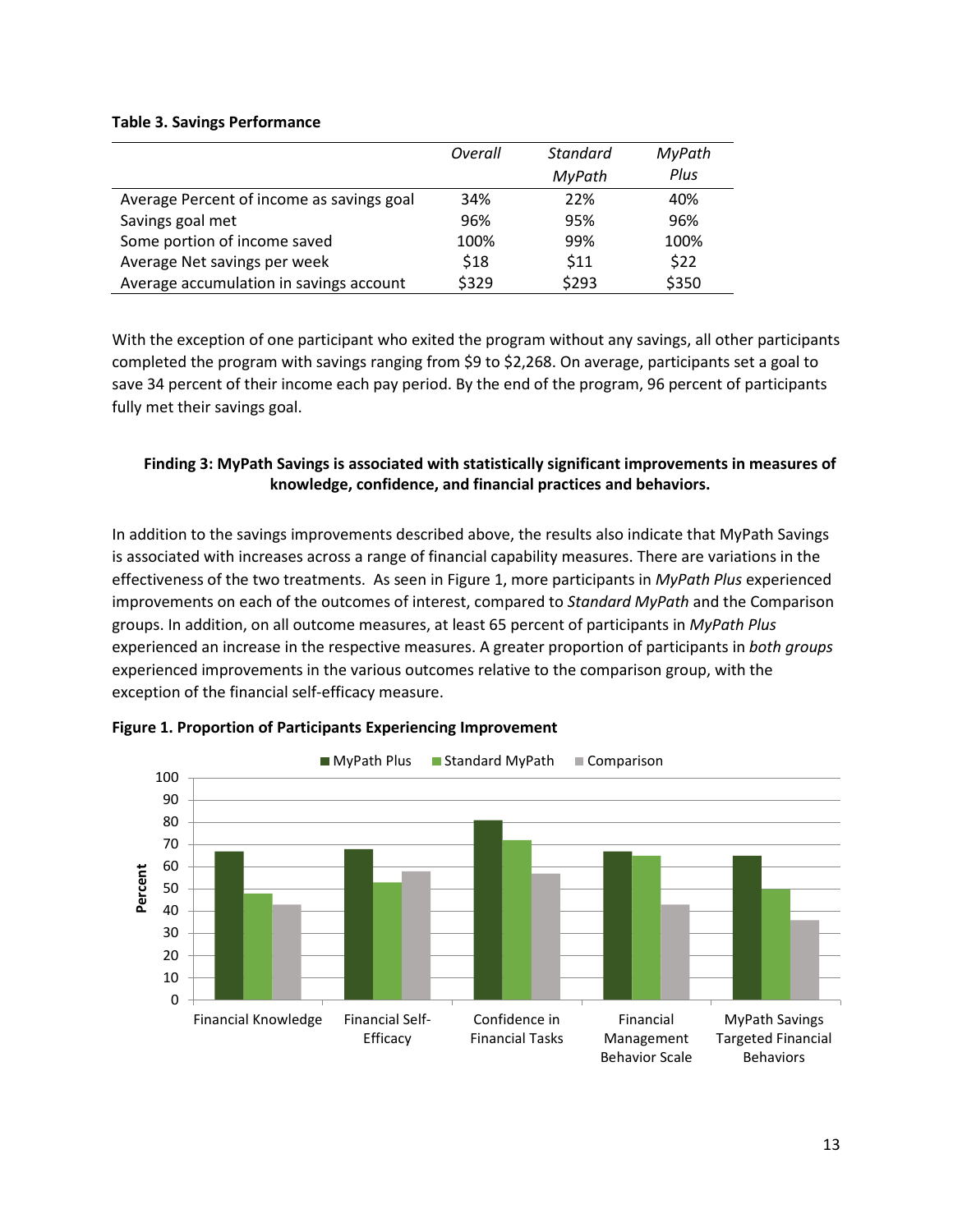#### **Table 3. Savings Performance**

|                                           | Overall | <b>Standard</b> | MyPath |
|-------------------------------------------|---------|-----------------|--------|
|                                           |         | MyPath          | Plus   |
| Average Percent of income as savings goal | 34%     | 22%             | 40%    |
| Savings goal met                          | 96%     | 95%             | 96%    |
| Some portion of income saved              | 100%    | 99%             | 100%   |
| Average Net savings per week              | \$18    | \$11            | \$22   |
| Average accumulation in savings account   | \$329   | \$293           | \$350  |

With the exception of one participant who exited the program without any savings, all other participants completed the program with savings ranging from \$9 to \$2,268. On average, participants set a goal to save 34 percent of their income each pay period. By the end of the program, 96 percent of participants fully met their savings goal.

#### **Finding 3: MyPath Savings is associated with statistically significant improvements in measures of knowledge, confidence, and financial practices and behaviors.**

In addition to the savings improvements described above, the results also indicate that MyPath Savings is associated with increases across a range of financial capability measures. There are variations in the effectiveness of the two treatments. As seen in Figure 1, more participants in *MyPath Plus* experienced improvements on each of the outcomes of interest, compared to *Standard MyPath* and the Comparison groups. In addition, on all outcome measures, at least 65 percent of participants in *MyPath Plus* experienced an increase in the respective measures. A greater proportion of participants in *both groups* experienced improvements in the various outcomes relative to the comparison group, with the exception of the financial self-efficacy measure.



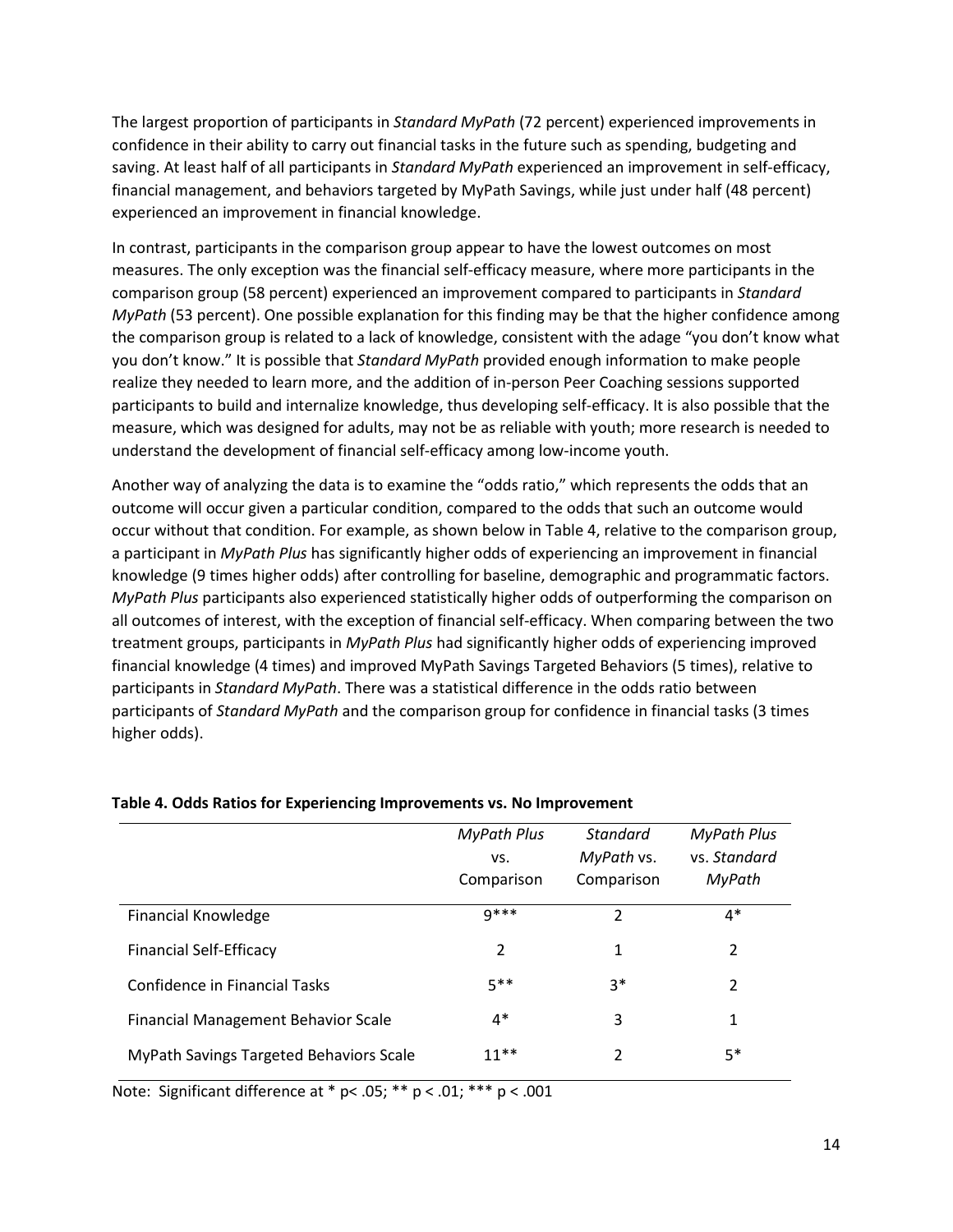The largest proportion of participants in *Standard MyPath* (72 percent) experienced improvements in confidence in their ability to carry out financial tasks in the future such as spending, budgeting and saving. At least half of all participants in *Standard MyPath* experienced an improvement in self-efficacy, financial management, and behaviors targeted by MyPath Savings, while just under half (48 percent) experienced an improvement in financial knowledge.

In contrast, participants in the comparison group appear to have the lowest outcomes on most measures. The only exception was the financial self-efficacy measure, where more participants in the comparison group (58 percent) experienced an improvement compared to participants in *Standard MyPath* (53 percent). One possible explanation for this finding may be that the higher confidence among the comparison group is related to a lack of knowledge, consistent with the adage "you don't know what you don't know." It is possible that *Standard MyPath* provided enough information to make people realize they needed to learn more, and the addition of in-person Peer Coaching sessions supported participants to build and internalize knowledge, thus developing self-efficacy. It is also possible that the measure, which was designed for adults, may not be as reliable with youth; more research is needed to understand the development of financial self-efficacy among low-income youth.

Another way of analyzing the data is to examine the "odds ratio," which represents the odds that an outcome will occur given a particular condition, compared to the odds that such an outcome would occur without that condition. For example, as shown below in Table 4, relative to the comparison group, a participant in *MyPath Plus* has significantly higher odds of experiencing an improvement in financial knowledge (9 times higher odds) after controlling for baseline, demographic and programmatic factors. *MyPath Plus* participants also experienced statistically higher odds of outperforming the comparison on all outcomes of interest, with the exception of financial self-efficacy. When comparing between the two treatment groups, participants in *MyPath Plus* had significantly higher odds of experiencing improved financial knowledge (4 times) and improved MyPath Savings Targeted Behaviors (5 times), relative to participants in *Standard MyPath*. There was a statistical difference in the odds ratio between participants of *Standard MyPath* and the comparison group for confidence in financial tasks (3 times higher odds).

| <b>MyPath Plus</b><br>VS. | Standard<br>MyPath vs. | <b>MyPath Plus</b><br>ys. Standard<br>MyPath |
|---------------------------|------------------------|----------------------------------------------|
| $9***$                    | 2                      | $4*$                                         |
| 2                         | 1                      | $\overline{2}$                               |
| 5**                       | $3*$                   | 2                                            |
| $4*$                      | 3                      | 1                                            |
| $11**$                    | 2                      | $5*$                                         |
|                           | Comparison             | Comparison                                   |

#### **Table 4. Odds Ratios for Experiencing Improvements vs. No Improvement**

Note: Significant difference at  $*$  p< .05;  $**$  p < .01;  $***$  p < .001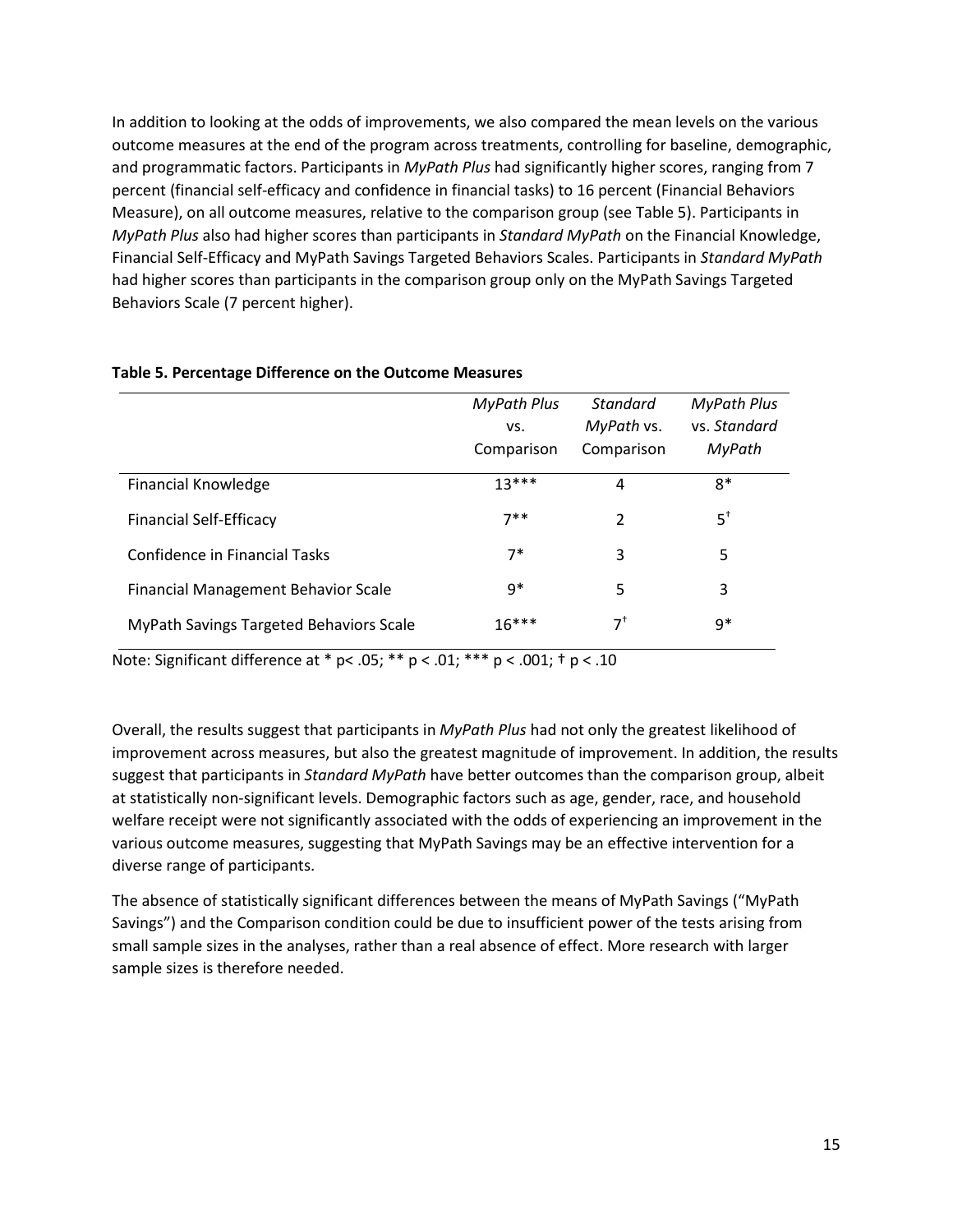In addition to looking at the odds of improvements, we also compared the mean levels on the various outcome measures at the end of the program across treatments, controlling for baseline, demographic, and programmatic factors. Participants in *MyPath Plus* had significantly higher scores, ranging from 7 percent (financial self-efficacy and confidence in financial tasks) to 16 percent (Financial Behaviors Measure), on all outcome measures, relative to the comparison group (see Table 5). Participants in *MyPath Plus* also had higher scores than participants in *Standard MyPath* on the Financial Knowledge, Financial Self-Efficacy and MyPath Savings Targeted Behaviors Scales. Participants in *Standard MyPath* had higher scores than participants in the comparison group only on the MyPath Savings Targeted Behaviors Scale (7 percent higher).

|                                                | <b>MyPath Plus</b><br>VS. | <b>Standard</b><br>MyPath vs. | <b>MyPath Plus</b><br>ys. Standard |
|------------------------------------------------|---------------------------|-------------------------------|------------------------------------|
|                                                | Comparison                | Comparison                    | MyPath                             |
| <b>Financial Knowledge</b>                     | $13***$                   | 4                             | $8*$                               |
| <b>Financial Self-Efficacy</b>                 | $7**$                     | $\mathcal{P}$                 | $5^{\dagger}$                      |
| Confidence in Financial Tasks                  | $7*$                      | 3                             | 5                                  |
| <b>Financial Management Behavior Scale</b>     | g*                        | 5                             | 3                                  |
| <b>MyPath Savings Targeted Behaviors Scale</b> | $16***$                   | 7†                            | g*                                 |

#### **Table 5. Percentage Difference on the Outcome Measures**

Note: Significant difference at \* p< .05; \*\* p < .01; \*\*\* p < .001; † p < .10

Overall, the results suggest that participants in *MyPath Plus* had not only the greatest likelihood of improvement across measures, but also the greatest magnitude of improvement. In addition, the results suggest that participants in *Standard MyPath* have better outcomes than the comparison group, albeit at statistically non-significant levels. Demographic factors such as age, gender, race, and household welfare receipt were not significantly associated with the odds of experiencing an improvement in the various outcome measures, suggesting that MyPath Savings may be an effective intervention for a diverse range of participants.

The absence of statistically significant differences between the means of MyPath Savings ("MyPath Savings") and the Comparison condition could be due to insufficient power of the tests arising from small sample sizes in the analyses, rather than a real absence of effect. More research with larger sample sizes is therefore needed.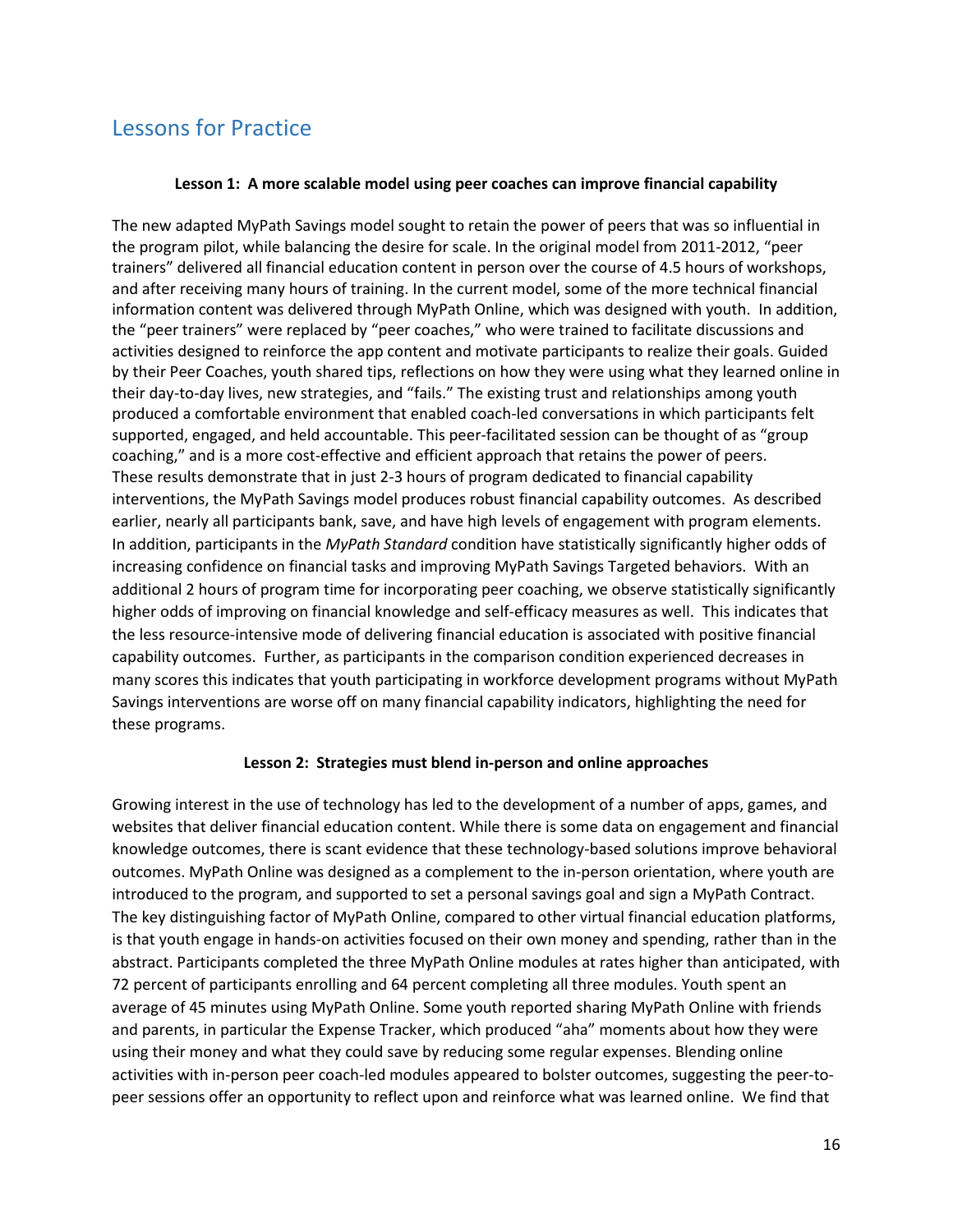## <span id="page-17-0"></span>Lessons for Practice

#### **Lesson 1: A more scalable model using peer coaches can improve financial capability**

The new adapted MyPath Savings model sought to retain the power of peers that was so influential in the program pilot, while balancing the desire for scale. In the original model from 2011-2012, "peer trainers" delivered all financial education content in person over the course of 4.5 hours of workshops, and after receiving many hours of training. In the current model, some of the more technical financial information content was delivered through MyPath Online, which was designed with youth. In addition, the "peer trainers" were replaced by "peer coaches," who were trained to facilitate discussions and activities designed to reinforce the app content and motivate participants to realize their goals. Guided by their Peer Coaches, youth shared tips, reflections on how they were using what they learned online in their day-to-day lives, new strategies, and "fails." The existing trust and relationships among youth produced a comfortable environment that enabled coach-led conversations in which participants felt supported, engaged, and held accountable. This peer-facilitated session can be thought of as "group coaching," and is a more cost-effective and efficient approach that retains the power of peers. These results demonstrate that in just 2-3 hours of program dedicated to financial capability interventions, the MyPath Savings model produces robust financial capability outcomes. As described earlier, nearly all participants bank, save, and have high levels of engagement with program elements. In addition, participants in the *MyPath Standard* condition have statistically significantly higher odds of increasing confidence on financial tasks and improving MyPath Savings Targeted behaviors. With an additional 2 hours of program time for incorporating peer coaching, we observe statistically significantly higher odds of improving on financial knowledge and self-efficacy measures as well. This indicates that the less resource-intensive mode of delivering financial education is associated with positive financial capability outcomes. Further, as participants in the comparison condition experienced decreases in many scores this indicates that youth participating in workforce development programs without MyPath Savings interventions are worse off on many financial capability indicators, highlighting the need for these programs.

#### **Lesson 2: Strategies must blend in-person and online approaches**

Growing interest in the use of technology has led to the development of a number of apps, games, and websites that deliver financial education content. While there is some data on engagement and financial knowledge outcomes, there is scant evidence that these technology-based solutions improve behavioral outcomes. MyPath Online was designed as a complement to the in-person orientation, where youth are introduced to the program, and supported to set a personal savings goal and sign a MyPath Contract. The key distinguishing factor of MyPath Online, compared to other virtual financial education platforms, is that youth engage in hands-on activities focused on their own money and spending, rather than in the abstract. Participants completed the three MyPath Online modules at rates higher than anticipated, with 72 percent of participants enrolling and 64 percent completing all three modules. Youth spent an average of 45 minutes using MyPath Online. Some youth reported sharing MyPath Online with friends and parents, in particular the Expense Tracker, which produced "aha" moments about how they were using their money and what they could save by reducing some regular expenses. Blending online activities with in-person peer coach-led modules appeared to bolster outcomes, suggesting the peer-topeer sessions offer an opportunity to reflect upon and reinforce what was learned online. We find that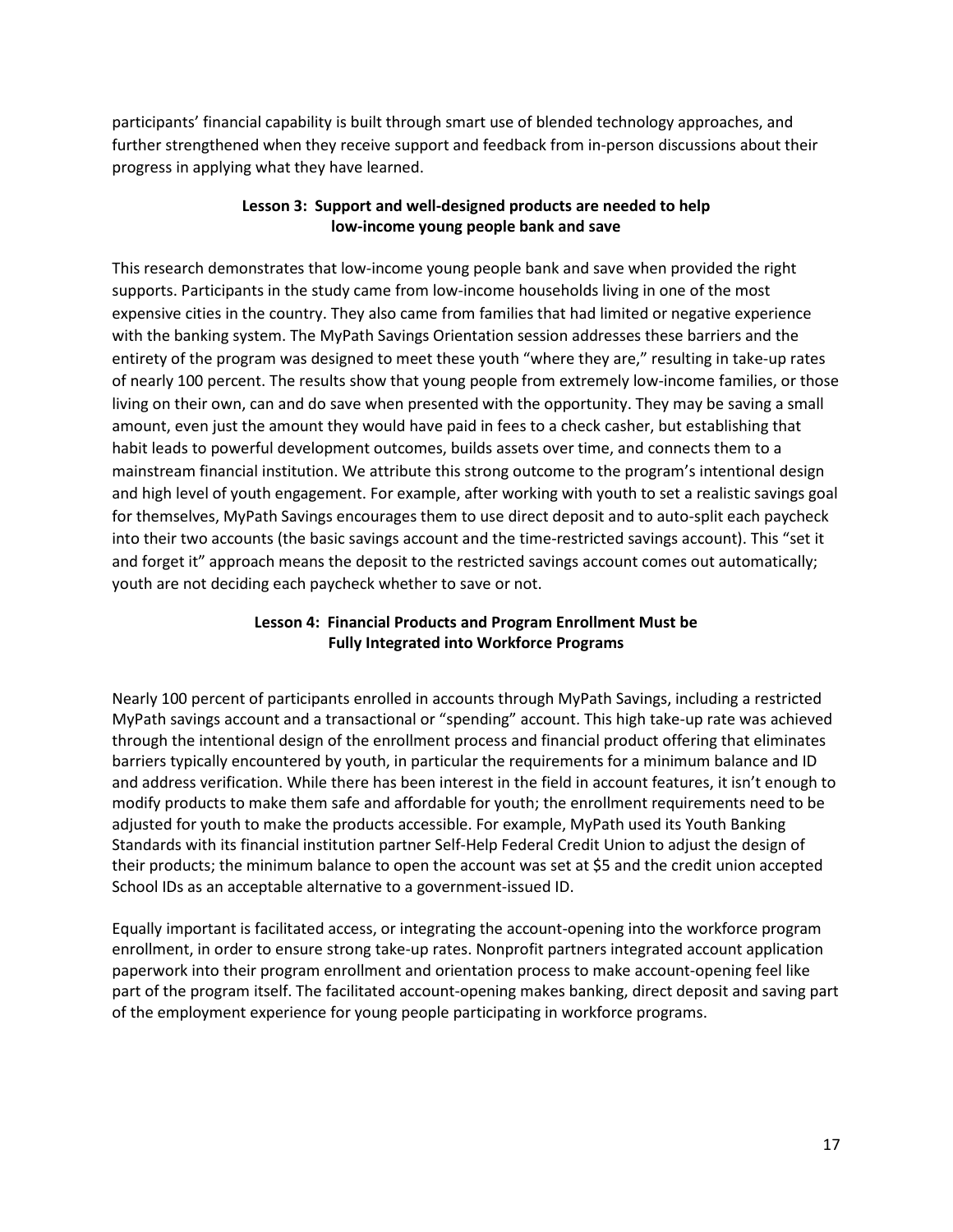participants' financial capability is built through smart use of blended technology approaches, and further strengthened when they receive support and feedback from in-person discussions about their progress in applying what they have learned.

#### **Lesson 3: Support and well-designed products are needed to help low-income young people bank and save**

This research demonstrates that low-income young people bank and save when provided the right supports. Participants in the study came from low-income households living in one of the most expensive cities in the country. They also came from families that had limited or negative experience with the banking system. The MyPath Savings Orientation session addresses these barriers and the entirety of the program was designed to meet these youth "where they are," resulting in take-up rates of nearly 100 percent. The results show that young people from extremely low-income families, or those living on their own, can and do save when presented with the opportunity. They may be saving a small amount, even just the amount they would have paid in fees to a check casher, but establishing that habit leads to powerful development outcomes, builds assets over time, and connects them to a mainstream financial institution. We attribute this strong outcome to the program's intentional design and high level of youth engagement. For example, after working with youth to set a realistic savings goal for themselves, MyPath Savings encourages them to use direct deposit and to auto-split each paycheck into their two accounts (the basic savings account and the time-restricted savings account). This "set it and forget it" approach means the deposit to the restricted savings account comes out automatically; youth are not deciding each paycheck whether to save or not.

#### **Lesson 4: Financial Products and Program Enrollment Must be Fully Integrated into Workforce Programs**

Nearly 100 percent of participants enrolled in accounts through MyPath Savings, including a restricted MyPath savings account and a transactional or "spending" account. This high take-up rate was achieved through the intentional design of the enrollment process and financial product offering that eliminates barriers typically encountered by youth, in particular the requirements for a minimum balance and ID and address verification. While there has been interest in the field in account features, it isn't enough to modify products to make them safe and affordable for youth; the enrollment requirements need to be adjusted for youth to make the products accessible. For example, MyPath used its Youth Banking Standards with its financial institution partner Self-Help Federal Credit Union to adjust the design of their products; the minimum balance to open the account was set at \$5 and the credit union accepted School IDs as an acceptable alternative to a government-issued ID.

Equally important is facilitated access, or integrating the account-opening into the workforce program enrollment, in order to ensure strong take-up rates. Nonprofit partners integrated account application paperwork into their program enrollment and orientation process to make account-opening feel like part of the program itself. The facilitated account-opening makes banking, direct deposit and saving part of the employment experience for young people participating in workforce programs.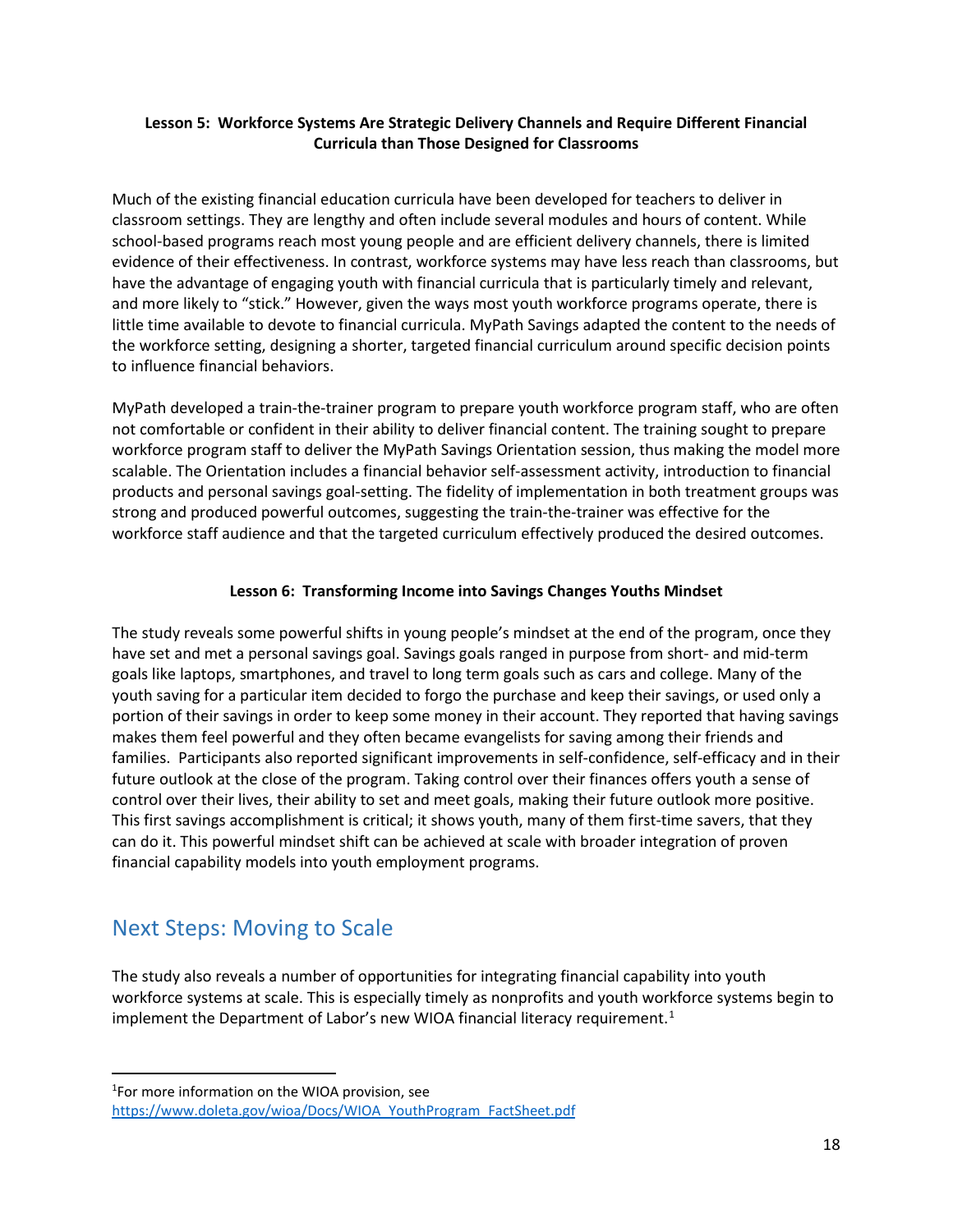#### **Lesson 5: Workforce Systems Are Strategic Delivery Channels and Require Different Financial Curricula than Those Designed for Classrooms**

Much of the existing financial education curricula have been developed for teachers to deliver in classroom settings. They are lengthy and often include several modules and hours of content. While school-based programs reach most young people and are efficient delivery channels, there is limited evidence of their effectiveness. In contrast, workforce systems may have less reach than classrooms, but have the advantage of engaging youth with financial curricula that is particularly timely and relevant, and more likely to "stick." However, given the ways most youth workforce programs operate, there is little time available to devote to financial curricula. MyPath Savings adapted the content to the needs of the workforce setting, designing a shorter, targeted financial curriculum around specific decision points to influence financial behaviors.

MyPath developed a train-the-trainer program to prepare youth workforce program staff, who are often not comfortable or confident in their ability to deliver financial content. The training sought to prepare workforce program staff to deliver the MyPath Savings Orientation session, thus making the model more scalable. The Orientation includes a financial behavior self-assessment activity, introduction to financial products and personal savings goal-setting. The fidelity of implementation in both treatment groups was strong and produced powerful outcomes, suggesting the train-the-trainer was effective for the workforce staff audience and that the targeted curriculum effectively produced the desired outcomes.

#### **Lesson 6: Transforming Income into Savings Changes Youths Mindset**

The study reveals some powerful shifts in young people's mindset at the end of the program, once they have set and met a personal savings goal. Savings goals ranged in purpose from short- and mid-term goals like laptops, smartphones, and travel to long term goals such as cars and college. Many of the youth saving for a particular item decided to forgo the purchase and keep their savings, or used only a portion of their savings in order to keep some money in their account. They reported that having savings makes them feel powerful and they often became evangelists for saving among their friends and families. Participants also reported significant improvements in self-confidence, self-efficacy and in their future outlook at the close of the program. Taking control over their finances offers youth a sense of control over their lives, their ability to set and meet goals, making their future outlook more positive. This first savings accomplishment is critical; it shows youth, many of them first-time savers, that they can do it. This powerful mindset shift can be achieved at scale with broader integration of proven financial capability models into youth employment programs.

### <span id="page-19-0"></span>Next Steps: Moving to Scale

The study also reveals a number of opportunities for integrating financial capability into youth workforce systems at scale. This is especially timely as nonprofits and youth workforce systems begin to implement the Department of Labor's new WIOA financial literacy requirement.<sup>[1](#page-19-1)</sup>

<span id="page-19-1"></span> $\frac{1}{1}$ <sup>1</sup>For more information on the WIOA provision, see [https://www.doleta.gov/wioa/Docs/WIOA\\_YouthProgram\\_FactSheet.pdf](https://www.doleta.gov/wioa/Docs/WIOA_YouthProgram_FactSheet.pdf)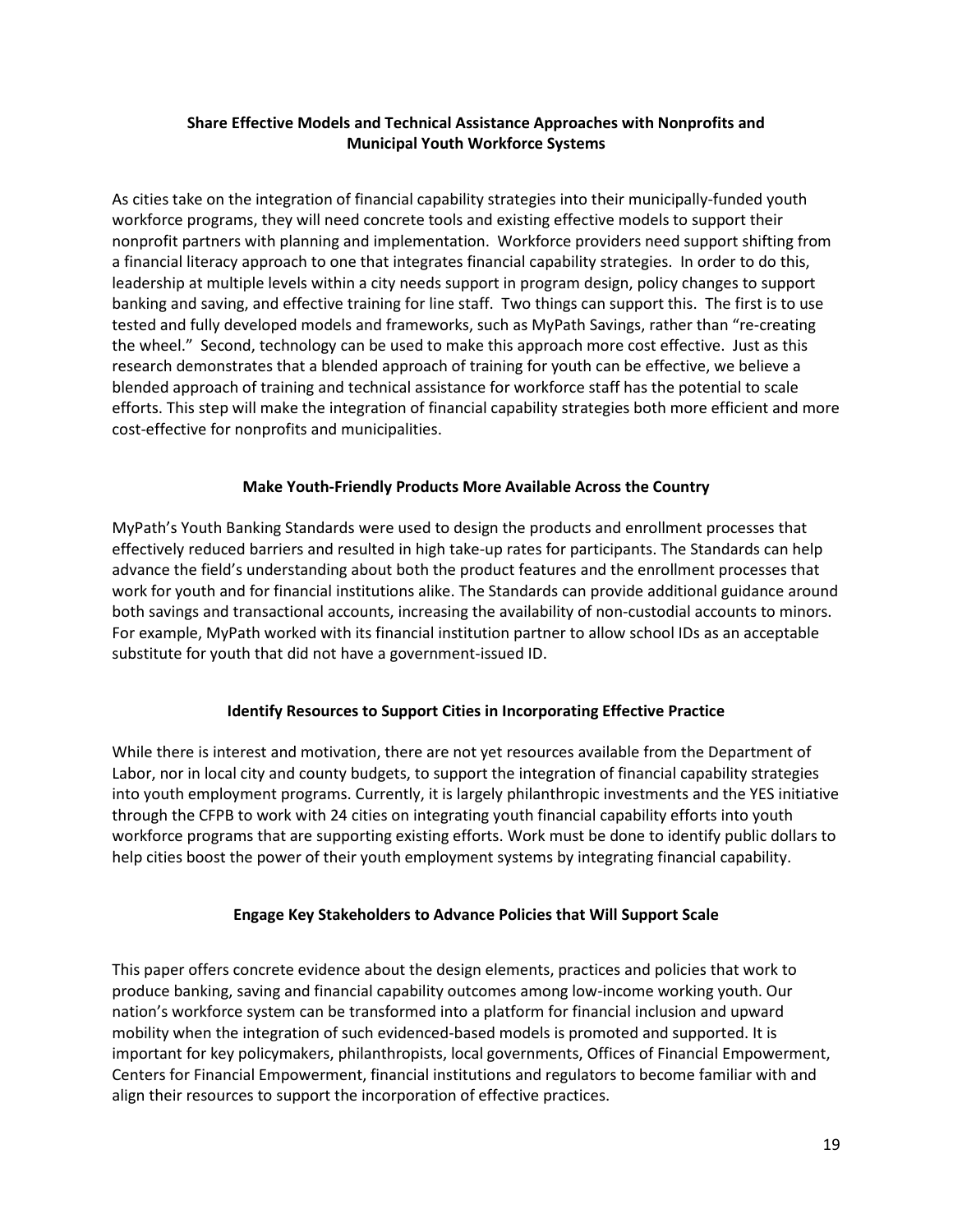#### **Share Effective Models and Technical Assistance Approaches with Nonprofits and Municipal Youth Workforce Systems**

As cities take on the integration of financial capability strategies into their municipally-funded youth workforce programs, they will need concrete tools and existing effective models to support their nonprofit partners with planning and implementation. Workforce providers need support shifting from a financial literacy approach to one that integrates financial capability strategies. In order to do this, leadership at multiple levels within a city needs support in program design, policy changes to support banking and saving, and effective training for line staff. Two things can support this. The first is to use tested and fully developed models and frameworks, such as MyPath Savings, rather than "re-creating the wheel." Second, technology can be used to make this approach more cost effective. Just as this research demonstrates that a blended approach of training for youth can be effective, we believe a blended approach of training and technical assistance for workforce staff has the potential to scale efforts. This step will make the integration of financial capability strategies both more efficient and more cost-effective for nonprofits and municipalities.

#### **Make Youth-Friendly Products More Available Across the Country**

MyPath's Youth Banking Standards were used to design the products and enrollment processes that effectively reduced barriers and resulted in high take-up rates for participants. The Standards can help advance the field's understanding about both the product features and the enrollment processes that work for youth and for financial institutions alike. The Standards can provide additional guidance around both savings and transactional accounts, increasing the availability of non-custodial accounts to minors. For example, MyPath worked with its financial institution partner to allow school IDs as an acceptable substitute for youth that did not have a government-issued ID.

#### **Identify Resources to Support Cities in Incorporating Effective Practice**

While there is interest and motivation, there are not yet resources available from the Department of Labor, nor in local city and county budgets, to support the integration of financial capability strategies into youth employment programs. Currently, it is largely philanthropic investments and the YES initiative through the CFPB to work with 24 cities on integrating youth financial capability efforts into youth workforce programs that are supporting existing efforts. Work must be done to identify public dollars to help cities boost the power of their youth employment systems by integrating financial capability.

#### **Engage Key Stakeholders to Advance Policies that Will Support Scale**

This paper offers concrete evidence about the design elements, practices and policies that work to produce banking, saving and financial capability outcomes among low-income working youth. Our nation's workforce system can be transformed into a platform for financial inclusion and upward mobility when the integration of such evidenced-based models is promoted and supported. It is important for key policymakers, philanthropists, local governments, Offices of Financial Empowerment, Centers for Financial Empowerment, financial institutions and regulators to become familiar with and align their resources to support the incorporation of effective practices.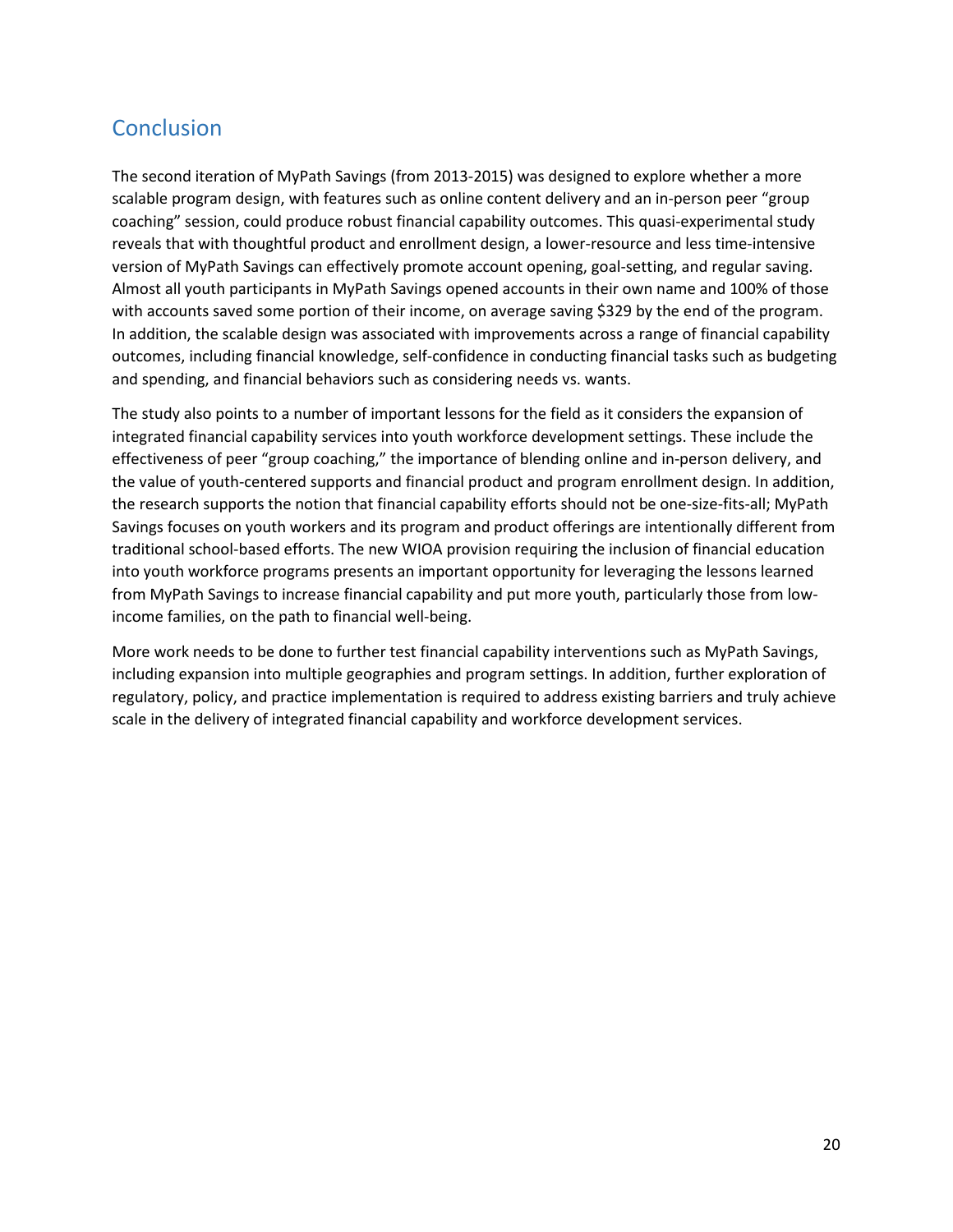## <span id="page-21-0"></span>**Conclusion**

The second iteration of MyPath Savings (from 2013-2015) was designed to explore whether a more scalable program design, with features such as online content delivery and an in-person peer "group coaching" session, could produce robust financial capability outcomes. This quasi-experimental study reveals that with thoughtful product and enrollment design, a lower-resource and less time-intensive version of MyPath Savings can effectively promote account opening, goal-setting, and regular saving. Almost all youth participants in MyPath Savings opened accounts in their own name and 100% of those with accounts saved some portion of their income, on average saving \$329 by the end of the program. In addition, the scalable design was associated with improvements across a range of financial capability outcomes, including financial knowledge, self-confidence in conducting financial tasks such as budgeting and spending, and financial behaviors such as considering needs vs. wants.

The study also points to a number of important lessons for the field as it considers the expansion of integrated financial capability services into youth workforce development settings. These include the effectiveness of peer "group coaching," the importance of blending online and in-person delivery, and the value of youth-centered supports and financial product and program enrollment design. In addition, the research supports the notion that financial capability efforts should not be one-size-fits-all; MyPath Savings focuses on youth workers and its program and product offerings are intentionally different from traditional school-based efforts. The new WIOA provision requiring the inclusion of financial education into youth workforce programs presents an important opportunity for leveraging the lessons learned from MyPath Savings to increase financial capability and put more youth, particularly those from lowincome families, on the path to financial well-being.

More work needs to be done to further test financial capability interventions such as MyPath Savings, including expansion into multiple geographies and program settings. In addition, further exploration of regulatory, policy, and practice implementation is required to address existing barriers and truly achieve scale in the delivery of integrated financial capability and workforce development services.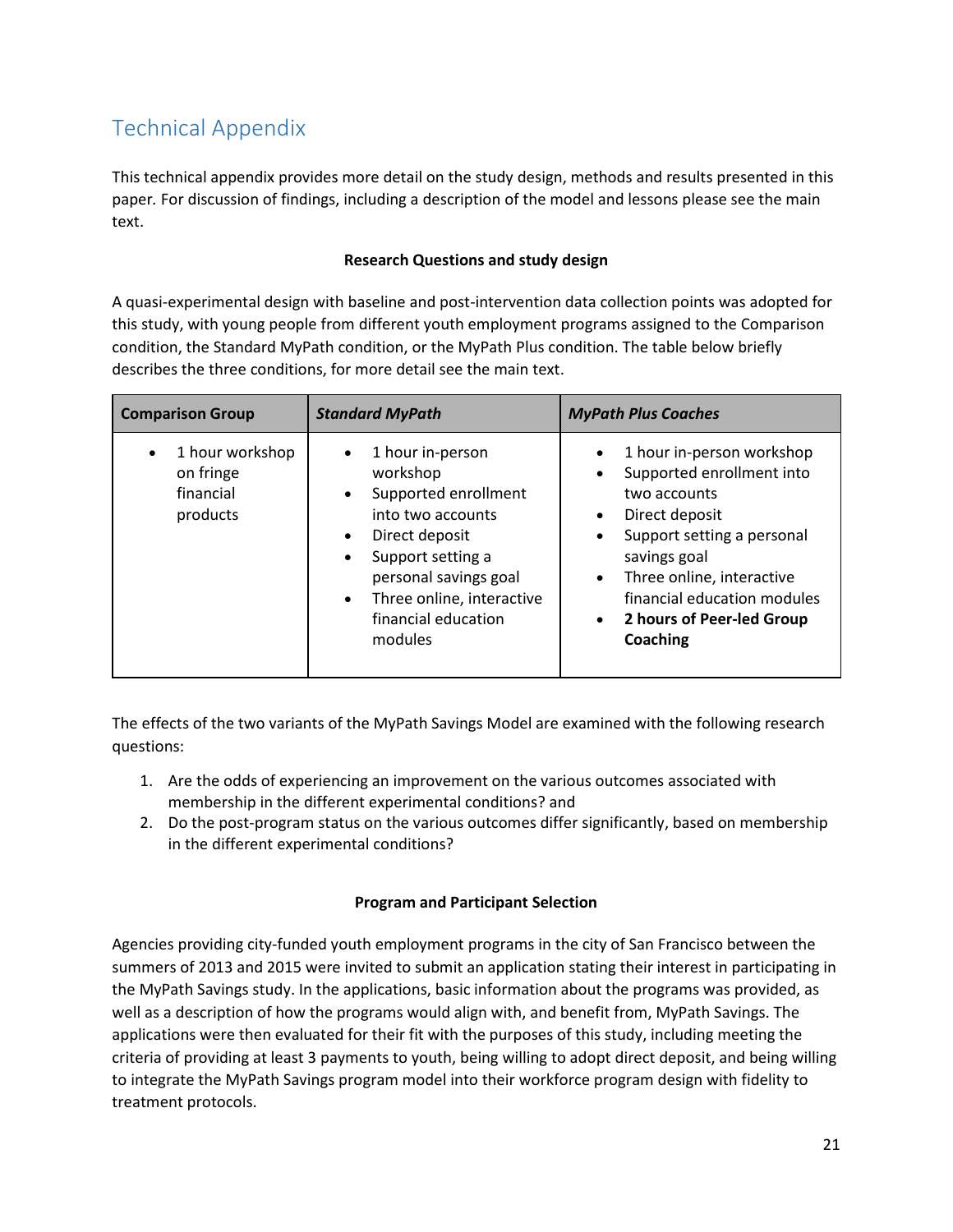## <span id="page-22-0"></span>Technical Appendix

This technical appendix provides more detail on the study design, methods and results presented in this paper*.* For discussion of findings, including a description of the model and lessons please see the main text.

#### **Research Questions and study design**

A quasi-experimental design with baseline and post-intervention data collection points was adopted for this study, with young people from different youth employment programs assigned to the Comparison condition, the Standard MyPath condition, or the MyPath Plus condition. The table below briefly describes the three conditions, for more detail see the main text.

| <b>Comparison Group</b>                               | <b>Standard MyPath</b>                                                                                                                                                                                                                                                    | <b>MyPath Plus Coaches</b>                                                                                                                                                                                                                                                                                                |
|-------------------------------------------------------|---------------------------------------------------------------------------------------------------------------------------------------------------------------------------------------------------------------------------------------------------------------------------|---------------------------------------------------------------------------------------------------------------------------------------------------------------------------------------------------------------------------------------------------------------------------------------------------------------------------|
| 1 hour workshop<br>on fringe<br>financial<br>products | 1 hour in-person<br>$\bullet$<br>workshop<br>Supported enrollment<br>$\bullet$<br>into two accounts<br>Direct deposit<br>$\bullet$<br>Support setting a<br>$\bullet$<br>personal savings goal<br>Three online, interactive<br>$\bullet$<br>financial education<br>modules | 1 hour in-person workshop<br>$\bullet$<br>Supported enrollment into<br>$\bullet$<br>two accounts<br>Direct deposit<br>$\bullet$<br>Support setting a personal<br>$\bullet$<br>savings goal<br>Three online, interactive<br>$\bullet$<br>financial education modules<br>2 hours of Peer-led Group<br>$\bullet$<br>Coaching |

The effects of the two variants of the MyPath Savings Model are examined with the following research questions:

- 1. Are the odds of experiencing an improvement on the various outcomes associated with membership in the different experimental conditions? and
- 2. Do the post-program status on the various outcomes differ significantly, based on membership in the different experimental conditions?

#### **Program and Participant Selection**

Agencies providing city-funded youth employment programs in the city of San Francisco between the summers of 2013 and 2015 were invited to submit an application stating their interest in participating in the MyPath Savings study. In the applications, basic information about the programs was provided, as well as a description of how the programs would align with, and benefit from, MyPath Savings. The applications were then evaluated for their fit with the purposes of this study, including meeting the criteria of providing at least 3 payments to youth, being willing to adopt direct deposit, and being willing to integrate the MyPath Savings program model into their workforce program design with fidelity to treatment protocols.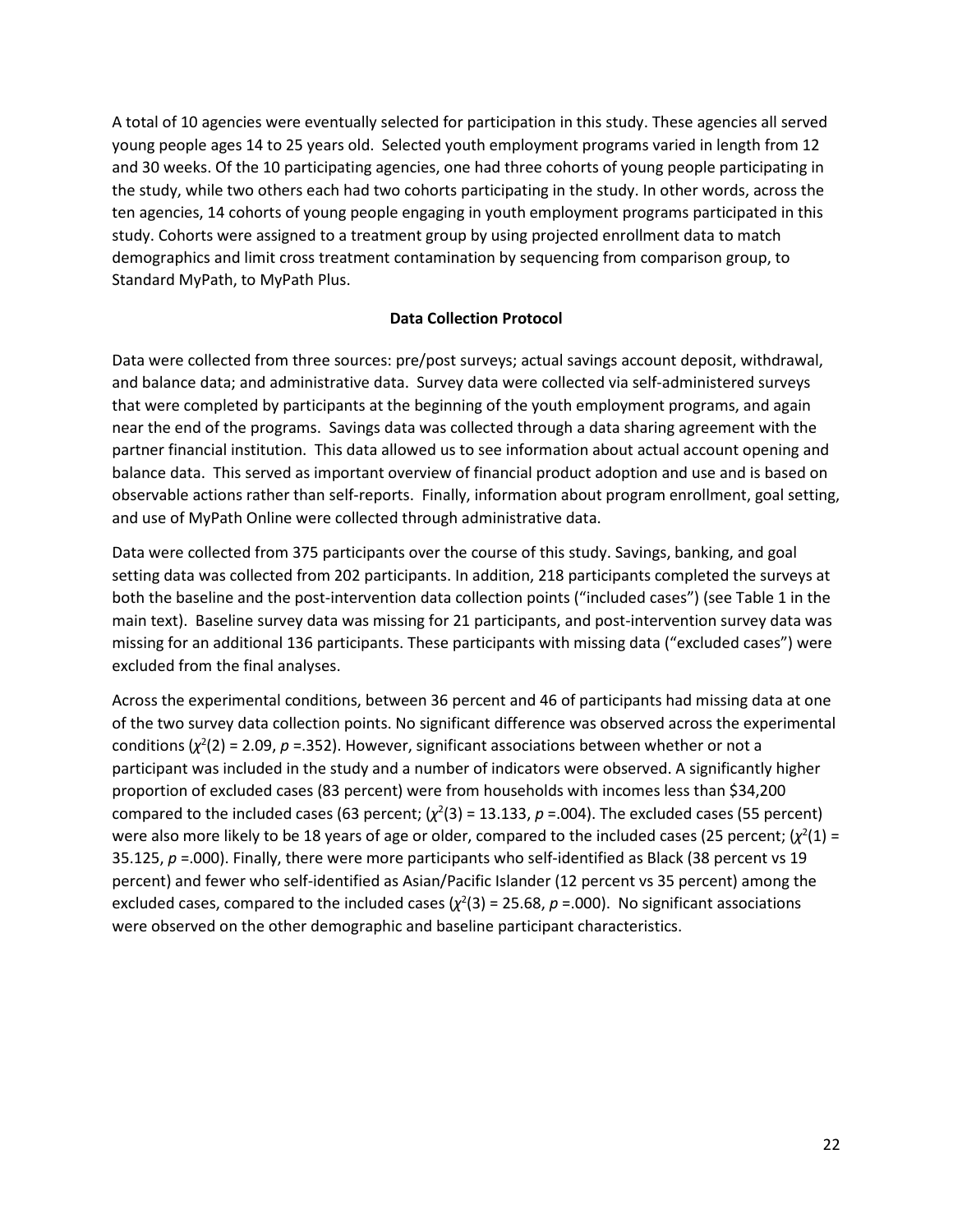A total of 10 agencies were eventually selected for participation in this study. These agencies all served young people ages 14 to 25 years old. Selected youth employment programs varied in length from 12 and 30 weeks. Of the 10 participating agencies, one had three cohorts of young people participating in the study, while two others each had two cohorts participating in the study. In other words, across the ten agencies, 14 cohorts of young people engaging in youth employment programs participated in this study. Cohorts were assigned to a treatment group by using projected enrollment data to match demographics and limit cross treatment contamination by sequencing from comparison group, to Standard MyPath, to MyPath Plus.

#### **Data Collection Protocol**

Data were collected from three sources: pre/post surveys; actual savings account deposit, withdrawal, and balance data; and administrative data. Survey data were collected via self-administered surveys that were completed by participants at the beginning of the youth employment programs, and again near the end of the programs. Savings data was collected through a data sharing agreement with the partner financial institution. This data allowed us to see information about actual account opening and balance data. This served as important overview of financial product adoption and use and is based on observable actions rather than self-reports. Finally, information about program enrollment, goal setting, and use of MyPath Online were collected through administrative data.

Data were collected from 375 participants over the course of this study. Savings, banking, and goal setting data was collected from 202 participants. In addition, 218 participants completed the surveys at both the baseline and the post-intervention data collection points ("included cases") (see Table 1 in the main text). Baseline survey data was missing for 21 participants, and post-intervention survey data was missing for an additional 136 participants. These participants with missing data ("excluded cases") were excluded from the final analyses.

Across the experimental conditions, between 36 percent and 46 of participants had missing data at one of the two survey data collection points. No significant difference was observed across the experimental conditions  $(\chi^2(2) = 2.09, p = 0.352)$ . However, significant associations between whether or not a participant was included in the study and a number of indicators were observed. A significantly higher proportion of excluded cases (83 percent) were from households with incomes less than \$34,200 compared to the included cases (63 percent;  $(\chi^2(3) = 13.133, p = .004)$ . The excluded cases (55 percent) were also more likely to be 18 years of age or older, compared to the included cases (25 percent;  $(\chi^2(1)$  = 35.125, *p* =.000). Finally, there were more participants who self-identified as Black (38 percent vs 19 percent) and fewer who self-identified as Asian/Pacific Islander (12 percent vs 35 percent) among the excluded cases, compared to the included cases  $(\chi^2(3) = 25.68, p = .000)$ . No significant associations were observed on the other demographic and baseline participant characteristics.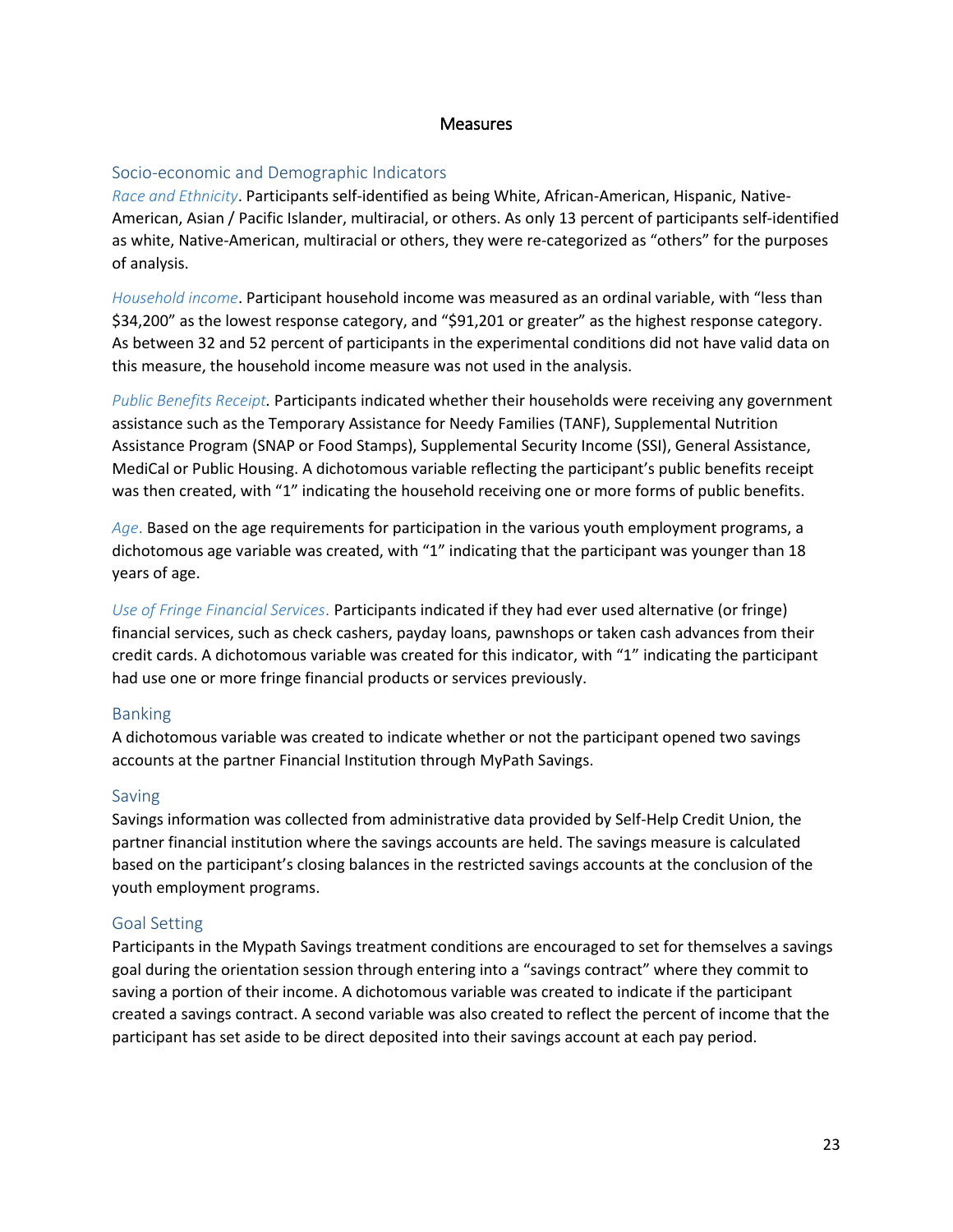#### **Measures**

#### Socio-economic and Demographic Indicators

*Race and Ethnicity*. Participants self-identified as being White, African-American, Hispanic, Native-American, Asian / Pacific Islander, multiracial, or others. As only 13 percent of participants self-identified as white, Native-American, multiracial or others, they were re-categorized as "others" for the purposes of analysis.

*Household income*. Participant household income was measured as an ordinal variable, with "less than \$34,200" as the lowest response category, and "\$91,201 or greater" as the highest response category. As between 32 and 52 percent of participants in the experimental conditions did not have valid data on this measure, the household income measure was not used in the analysis.

*Public Benefits Receipt.* Participants indicated whether their households were receiving any government assistance such as the Temporary Assistance for Needy Families (TANF), Supplemental Nutrition Assistance Program (SNAP or Food Stamps), Supplemental Security Income (SSI), General Assistance, MediCal or Public Housing. A dichotomous variable reflecting the participant's public benefits receipt was then created, with "1" indicating the household receiving one or more forms of public benefits.

*Age*. Based on the age requirements for participation in the various youth employment programs, a dichotomous age variable was created, with "1" indicating that the participant was younger than 18 years of age.

*Use of Fringe Financial Services*. Participants indicated if they had ever used alternative (or fringe) financial services, such as check cashers, payday loans, pawnshops or taken cash advances from their credit cards. A dichotomous variable was created for this indicator, with "1" indicating the participant had use one or more fringe financial products or services previously.

#### Banking

A dichotomous variable was created to indicate whether or not the participant opened two savings accounts at the partner Financial Institution through MyPath Savings.

#### Saving

Savings information was collected from administrative data provided by Self-Help Credit Union, the partner financial institution where the savings accounts are held. The savings measure is calculated based on the participant's closing balances in the restricted savings accounts at the conclusion of the youth employment programs.

#### Goal Setting

Participants in the Mypath Savings treatment conditions are encouraged to set for themselves a savings goal during the orientation session through entering into a "savings contract" where they commit to saving a portion of their income. A dichotomous variable was created to indicate if the participant created a savings contract. A second variable was also created to reflect the percent of income that the participant has set aside to be direct deposited into their savings account at each pay period.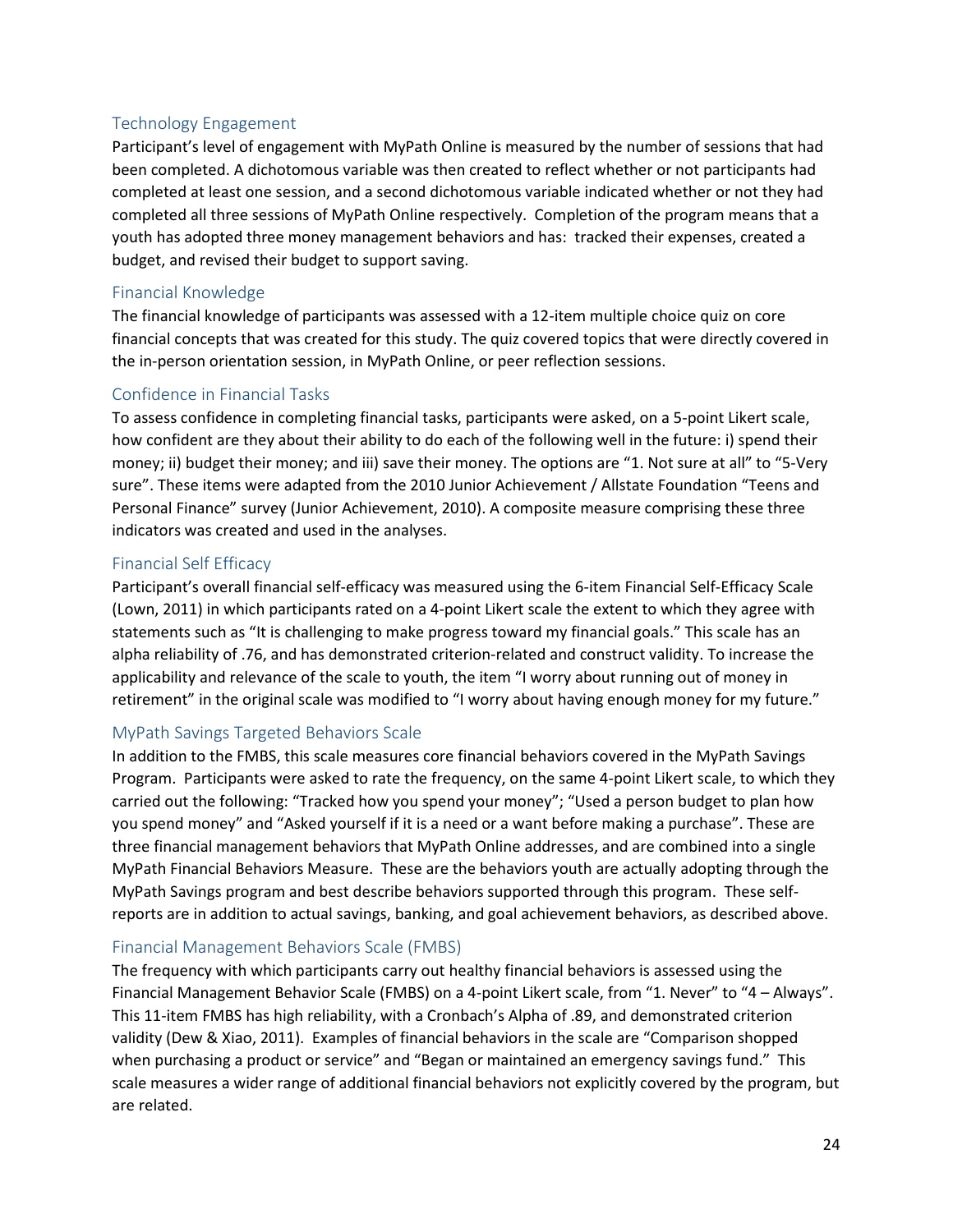#### Technology Engagement

Participant's level of engagement with MyPath Online is measured by the number of sessions that had been completed. A dichotomous variable was then created to reflect whether or not participants had completed at least one session, and a second dichotomous variable indicated whether or not they had completed all three sessions of MyPath Online respectively. Completion of the program means that a youth has adopted three money management behaviors and has: tracked their expenses, created a budget, and revised their budget to support saving.

#### Financial Knowledge

The financial knowledge of participants was assessed with a 12-item multiple choice quiz on core financial concepts that was created for this study. The quiz covered topics that were directly covered in the in-person orientation session, in MyPath Online, or peer reflection sessions.

#### Confidence in Financial Tasks

To assess confidence in completing financial tasks, participants were asked, on a 5-point Likert scale, how confident are they about their ability to do each of the following well in the future: i) spend their money; ii) budget their money; and iii) save their money. The options are "1. Not sure at all" to "5-Very sure". These items were adapted from the 2010 Junior Achievement / Allstate Foundation "Teens and Personal Finance" survey (Junior Achievement, 2010). A composite measure comprising these three indicators was created and used in the analyses.

#### Financial Self Efficacy

Participant's overall financial self-efficacy was measured using the 6-item Financial Self-Efficacy Scale (Lown, 2011) in which participants rated on a 4-point Likert scale the extent to which they agree with statements such as "It is challenging to make progress toward my financial goals." This scale has an alpha reliability of .76, and has demonstrated criterion-related and construct validity. To increase the applicability and relevance of the scale to youth, the item "I worry about running out of money in retirement" in the original scale was modified to "I worry about having enough money for my future."

#### MyPath Savings Targeted Behaviors Scale

In addition to the FMBS, this scale measures core financial behaviors covered in the MyPath Savings Program. Participants were asked to rate the frequency, on the same 4-point Likert scale, to which they carried out the following: "Tracked how you spend your money"; "Used a person budget to plan how you spend money" and "Asked yourself if it is a need or a want before making a purchase". These are three financial management behaviors that MyPath Online addresses, and are combined into a single MyPath Financial Behaviors Measure. These are the behaviors youth are actually adopting through the MyPath Savings program and best describe behaviors supported through this program. These selfreports are in addition to actual savings, banking, and goal achievement behaviors, as described above.

#### Financial Management Behaviors Scale (FMBS)

The frequency with which participants carry out healthy financial behaviors is assessed using the Financial Management Behavior Scale (FMBS) on a 4-point Likert scale, from "1. Never" to "4 – Always". This 11-item FMBS has high reliability, with a Cronbach's Alpha of .89, and demonstrated criterion validity (Dew & Xiao, 2011). Examples of financial behaviors in the scale are "Comparison shopped when purchasing a product or service" and "Began or maintained an emergency savings fund." This scale measures a wider range of additional financial behaviors not explicitly covered by the program, but are related.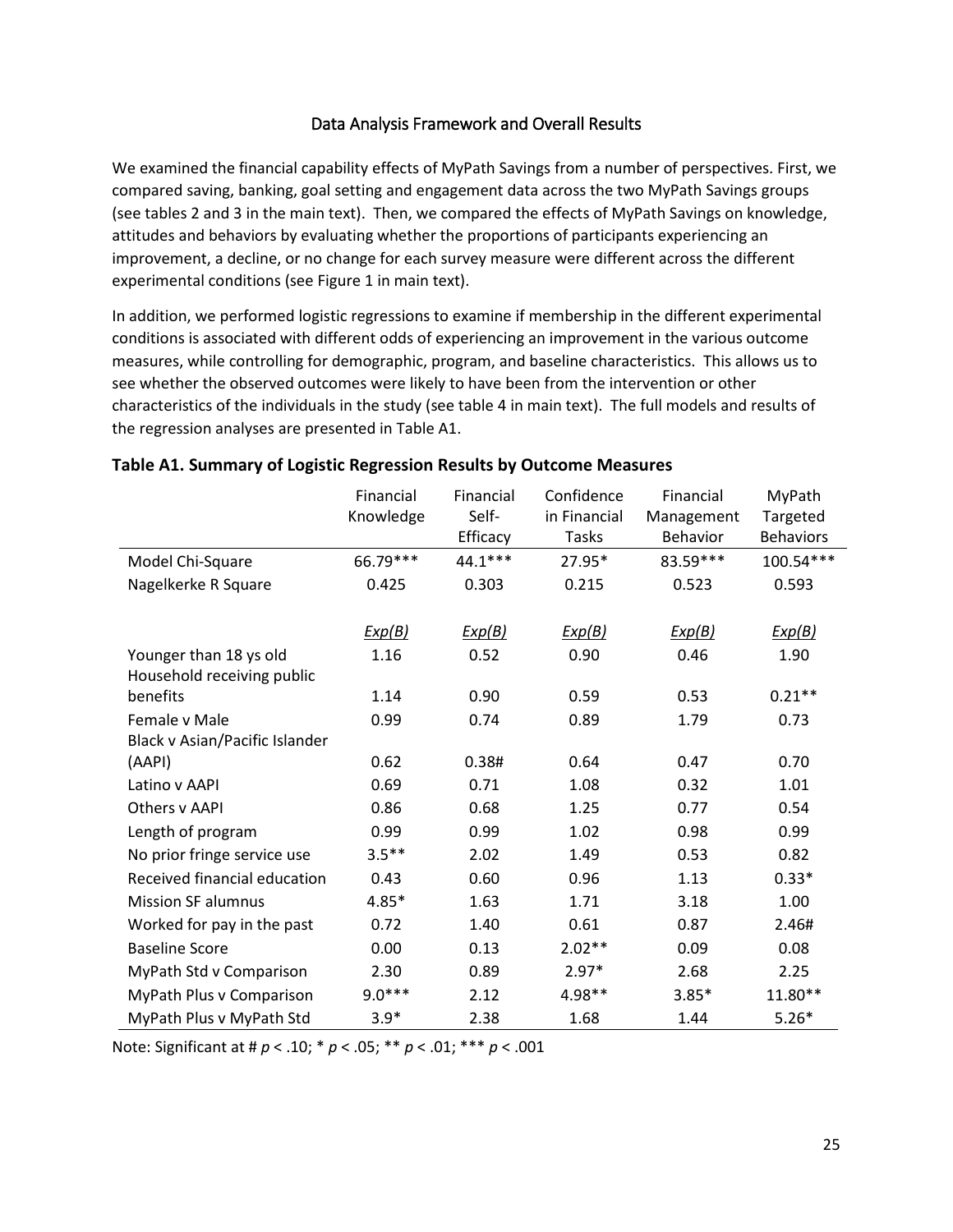#### Data Analysis Framework and Overall Results

We examined the financial capability effects of MyPath Savings from a number of perspectives. First, we compared saving, banking, goal setting and engagement data across the two MyPath Savings groups (see tables 2 and 3 in the main text). Then, we compared the effects of MyPath Savings on knowledge, attitudes and behaviors by evaluating whether the proportions of participants experiencing an improvement, a decline, or no change for each survey measure were different across the different experimental conditions (see Figure 1 in main text).

In addition, we performed logistic regressions to examine if membership in the different experimental conditions is associated with different odds of experiencing an improvement in the various outcome measures, while controlling for demographic, program, and baseline characteristics. This allows us to see whether the observed outcomes were likely to have been from the intervention or other characteristics of the individuals in the study (see table 4 in main text). The full models and results of the regression analyses are presented i[n Table A1.](#page-26-0)

|                                | Financial | Financial | Confidence   | Financial       | MyPath           |
|--------------------------------|-----------|-----------|--------------|-----------------|------------------|
|                                | Knowledge | Self-     | in Financial | Management      | Targeted         |
|                                |           | Efficacy  | <b>Tasks</b> | <b>Behavior</b> | <b>Behaviors</b> |
| Model Chi-Square               | 66.79***  | 44.1 ***  | 27.95*       | 83.59***        | 100.54***        |
| Nagelkerke R Square            | 0.425     | 0.303     | 0.215        | 0.523           | 0.593            |
|                                |           |           |              |                 |                  |
|                                | Exp(B)    | Exp(B)    | Exp(B)       | Exp(B)          | Exp(B)           |
| Younger than 18 ys old         | 1.16      | 0.52      | 0.90         | 0.46            | 1.90             |
| Household receiving public     |           |           |              |                 |                  |
| benefits                       | 1.14      | 0.90      | 0.59         | 0.53            | $0.21**$         |
| Female v Male                  | 0.99      | 0.74      | 0.89         | 1.79            | 0.73             |
| Black v Asian/Pacific Islander |           |           |              |                 |                  |
| (AAPI)                         | 0.62      | 0.38#     | 0.64         | 0.47            | 0.70             |
| Latino v AAPI                  | 0.69      | 0.71      | 1.08         | 0.32            | 1.01             |
| Others v AAPI                  | 0.86      | 0.68      | 1.25         | 0.77            | 0.54             |
| Length of program              | 0.99      | 0.99      | 1.02         | 0.98            | 0.99             |
| No prior fringe service use    | $3.5***$  | 2.02      | 1.49         | 0.53            | 0.82             |
| Received financial education   | 0.43      | 0.60      | 0.96         | 1.13            | $0.33*$          |
| <b>Mission SF alumnus</b>      | $4.85*$   | 1.63      | 1.71         | 3.18            | 1.00             |
| Worked for pay in the past     | 0.72      | 1.40      | 0.61         | 0.87            | 2.46#            |
| <b>Baseline Score</b>          | 0.00      | 0.13      | $2.02**$     | 0.09            | 0.08             |
| MyPath Std v Comparison        | 2.30      | 0.89      | $2.97*$      | 2.68            | 2.25             |
| MyPath Plus v Comparison       | $9.0***$  | 2.12      | 4.98**       | $3.85*$         | 11.80**          |
| MyPath Plus v MyPath Std       | $3.9*$    | 2.38      | 1.68         | 1.44            | $5.26*$          |

#### <span id="page-26-0"></span>**Table A1. Summary of Logistic Regression Results by Outcome Measures**

Note: Significant at # *p* < .10; \* *p* < .05; \*\* *p* < .01; \*\*\* *p* < .001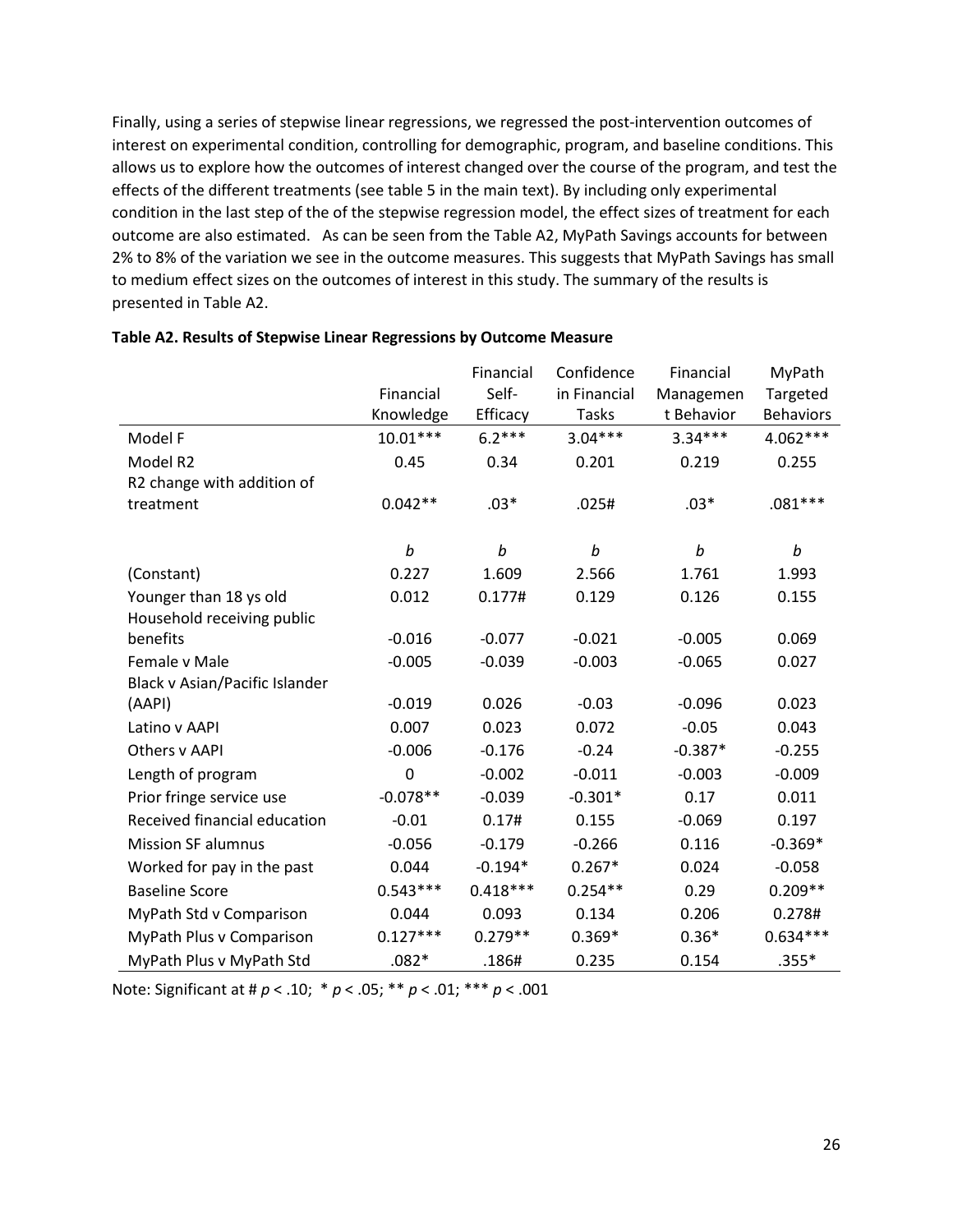Finally, using a series of stepwise linear regressions, we regressed the post-intervention outcomes of interest on experimental condition, controlling for demographic, program, and baseline conditions. This allows us to explore how the outcomes of interest changed over the course of the program, and test the effects of the different treatments (see table 5 in the main text). By including only experimental condition in the last step of the of the stepwise regression model, the effect sizes of treatment for each outcome are also estimated. As can be seen from the Table A2, MyPath Savings accounts for between 2% to 8% of the variation we see in the outcome measures. This suggests that MyPath Savings has small to medium effect sizes on the outcomes of interest in this study. The summary of the results is presented in [Table A2.](#page-27-0)

|                                |                  | Financial  | Confidence   | Financial  | MyPath           |
|--------------------------------|------------------|------------|--------------|------------|------------------|
|                                | Financial        | Self-      | in Financial | Managemen  | Targeted         |
|                                | Knowledge        | Efficacy   | <b>Tasks</b> | t Behavior | <b>Behaviors</b> |
| Model F                        | $10.01***$       | $6.2***$   | $3.04***$    | $3.34***$  | 4.062***         |
| Model R2                       | 0.45             | 0.34       | 0.201        | 0.219      | 0.255            |
| R2 change with addition of     |                  |            |              |            |                  |
| treatment                      | $0.042**$        | $.03*$     | .025#        | $.03*$     | $.081***$        |
|                                |                  |            |              |            |                  |
|                                | $\boldsymbol{b}$ | b          | b            | b          | b                |
| (Constant)                     | 0.227            | 1.609      | 2.566        | 1.761      | 1.993            |
| Younger than 18 ys old         | 0.012            | 0.177#     | 0.129        | 0.126      | 0.155            |
| Household receiving public     |                  |            |              |            |                  |
| benefits                       | $-0.016$         | $-0.077$   | $-0.021$     | $-0.005$   | 0.069            |
| Female v Male                  | $-0.005$         | $-0.039$   | $-0.003$     | $-0.065$   | 0.027            |
| Black v Asian/Pacific Islander |                  |            |              |            |                  |
| (AAPI)                         | $-0.019$         | 0.026      | $-0.03$      | $-0.096$   | 0.023            |
| Latino v AAPI                  | 0.007            | 0.023      | 0.072        | $-0.05$    | 0.043            |
| Others v AAPI                  | $-0.006$         | $-0.176$   | $-0.24$      | $-0.387*$  | $-0.255$         |
| Length of program              | $\mathbf 0$      | $-0.002$   | $-0.011$     | $-0.003$   | $-0.009$         |
| Prior fringe service use       | $-0.078**$       | $-0.039$   | $-0.301*$    | 0.17       | 0.011            |
| Received financial education   | $-0.01$          | 0.17#      | 0.155        | $-0.069$   | 0.197            |
| <b>Mission SF alumnus</b>      | $-0.056$         | $-0.179$   | $-0.266$     | 0.116      | $-0.369*$        |
| Worked for pay in the past     | 0.044            | $-0.194*$  | $0.267*$     | 0.024      | $-0.058$         |
| <b>Baseline Score</b>          | $0.543***$       | $0.418***$ | $0.254**$    | 0.29       | $0.209**$        |
| MyPath Std v Comparison        | 0.044            | 0.093      | 0.134        | 0.206      | 0.278#           |
| MyPath Plus v Comparison       | $0.127***$       | $0.279**$  | $0.369*$     | $0.36*$    | $0.634***$       |
| MyPath Plus v MyPath Std       | $.082*$          | .186#      | 0.235        | 0.154      | $.355*$          |

#### <span id="page-27-0"></span>**Table A2. Results of Stepwise Linear Regressions by Outcome Measure**

Note: Significant at # *p* < .10; \* *p* < .05; \*\* *p* < .01; \*\*\* *p* < .001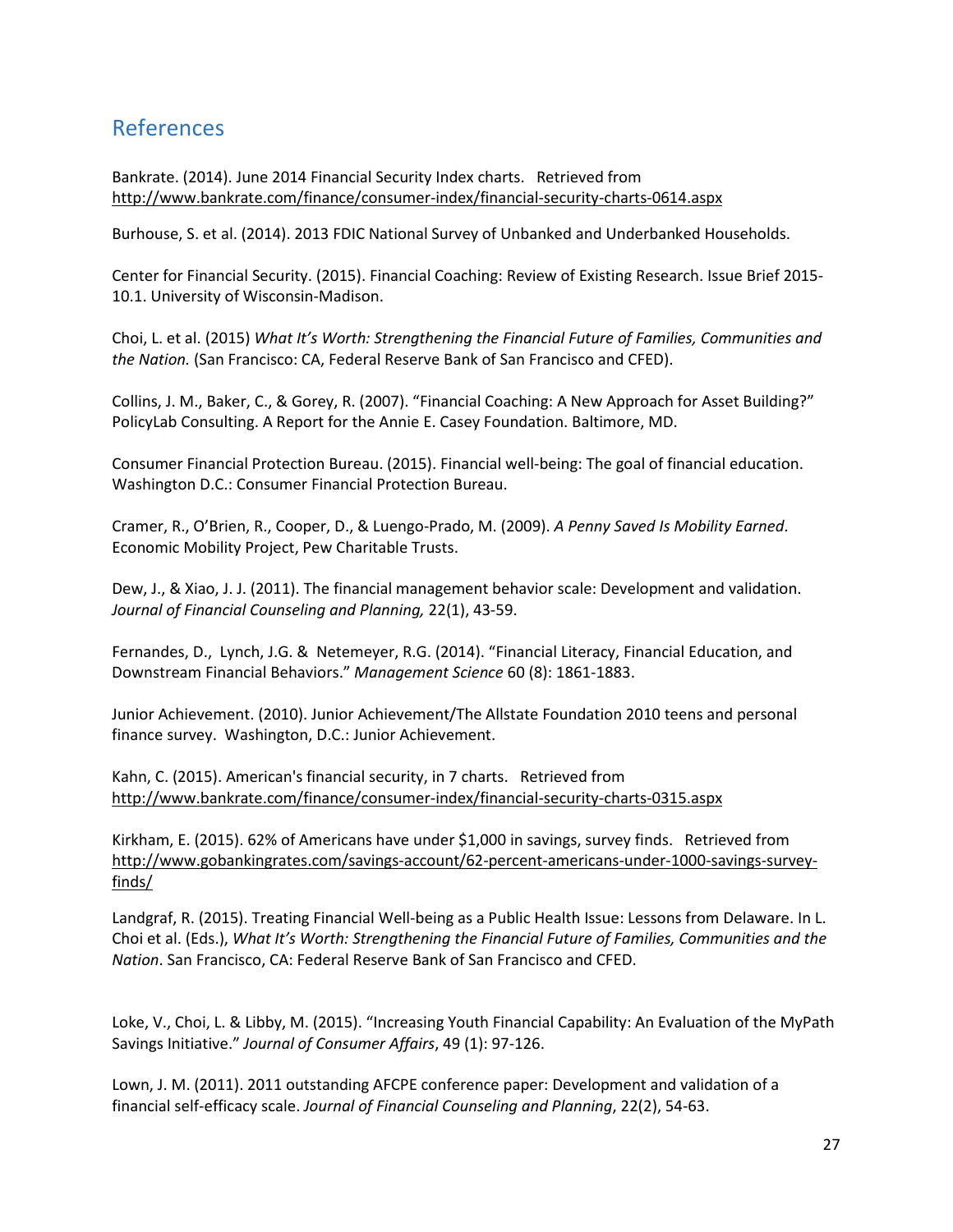## <span id="page-28-0"></span>References

Bankrate. (2014). June 2014 Financial Security Index charts. Retrieved from <http://www.bankrate.com/finance/consumer-index/financial-security-charts-0614.aspx>

Burhouse, S. et al. (2014). 2013 FDIC National Survey of Unbanked and Underbanked Households.

Center for Financial Security. (2015). Financial Coaching: Review of Existing Research. Issue Brief 2015- 10.1. University of Wisconsin-Madison.

Choi, L. et al. (2015) *What It's Worth: Strengthening the Financial Future of Families, Communities and the Nation.* (San Francisco: CA, Federal Reserve Bank of San Francisco and CFED).

Collins, J. M., Baker, C., & Gorey, R. (2007). "Financial Coaching: A New Approach for Asset Building?" PolicyLab Consulting. A Report for the Annie E. Casey Foundation. Baltimore, MD.

Consumer Financial Protection Bureau. (2015). Financial well-being: The goal of financial education. Washington D.C.: Consumer Financial Protection Bureau.

Cramer, R., O'Brien, R., Cooper, D., & Luengo-Prado, M. (2009). *A Penny Saved Is Mobility Earned*. Economic Mobility Project, Pew Charitable Trusts.

Dew, J., & Xiao, J. J. (2011). The financial management behavior scale: Development and validation. *Journal of Financial Counseling and Planning,* 22(1), 43-59.

Fernandes, D., Lynch, J.G. & Netemeyer, R.G. (2014). "Financial Literacy, Financial Education, and Downstream Financial Behaviors." *Management Science* 60 (8): 1861-1883.

Junior Achievement. (2010). Junior Achievement/The Allstate Foundation 2010 teens and personal finance survey. Washington, D.C.: Junior Achievement.

Kahn, C. (2015). American's financial security, in 7 charts. Retrieved from <http://www.bankrate.com/finance/consumer-index/financial-security-charts-0315.aspx>

Kirkham, E. (2015). 62% of Americans have under \$1,000 in savings, survey finds. Retrieved from [http://www.gobankingrates.com/savings-account/62-percent-americans-under-1000-savings-survey](http://www.gobankingrates.com/savings-account/62-percent-americans-under-1000-savings-survey-finds/)[finds/](http://www.gobankingrates.com/savings-account/62-percent-americans-under-1000-savings-survey-finds/)

Landgraf, R. (2015). Treating Financial Well-being as a Public Health Issue: Lessons from Delaware. In L. Choi et al. (Eds.), *What It's Worth: Strengthening the Financial Future of Families, Communities and the Nation*. San Francisco, CA: Federal Reserve Bank of San Francisco and CFED.

Loke, V., Choi, L. & Libby, M. (2015). "Increasing Youth Financial Capability: An Evaluation of the MyPath Savings Initiative." *Journal of Consumer Affairs*, 49 (1): 97-126.

Lown, J. M. (2011). 2011 outstanding AFCPE conference paper: Development and validation of a financial self-efficacy scale. *Journal of Financial Counseling and Planning*, 22(2), 54-63.